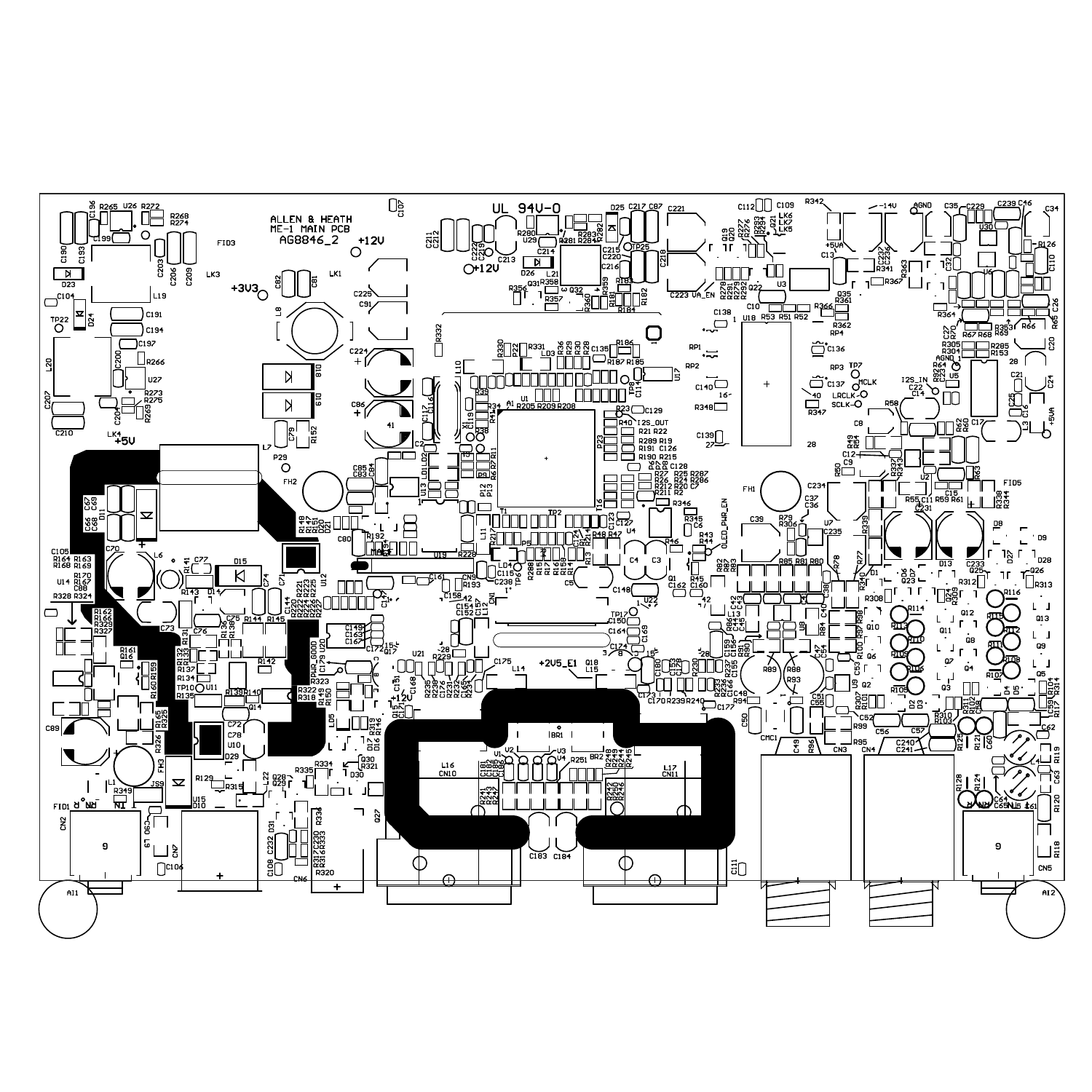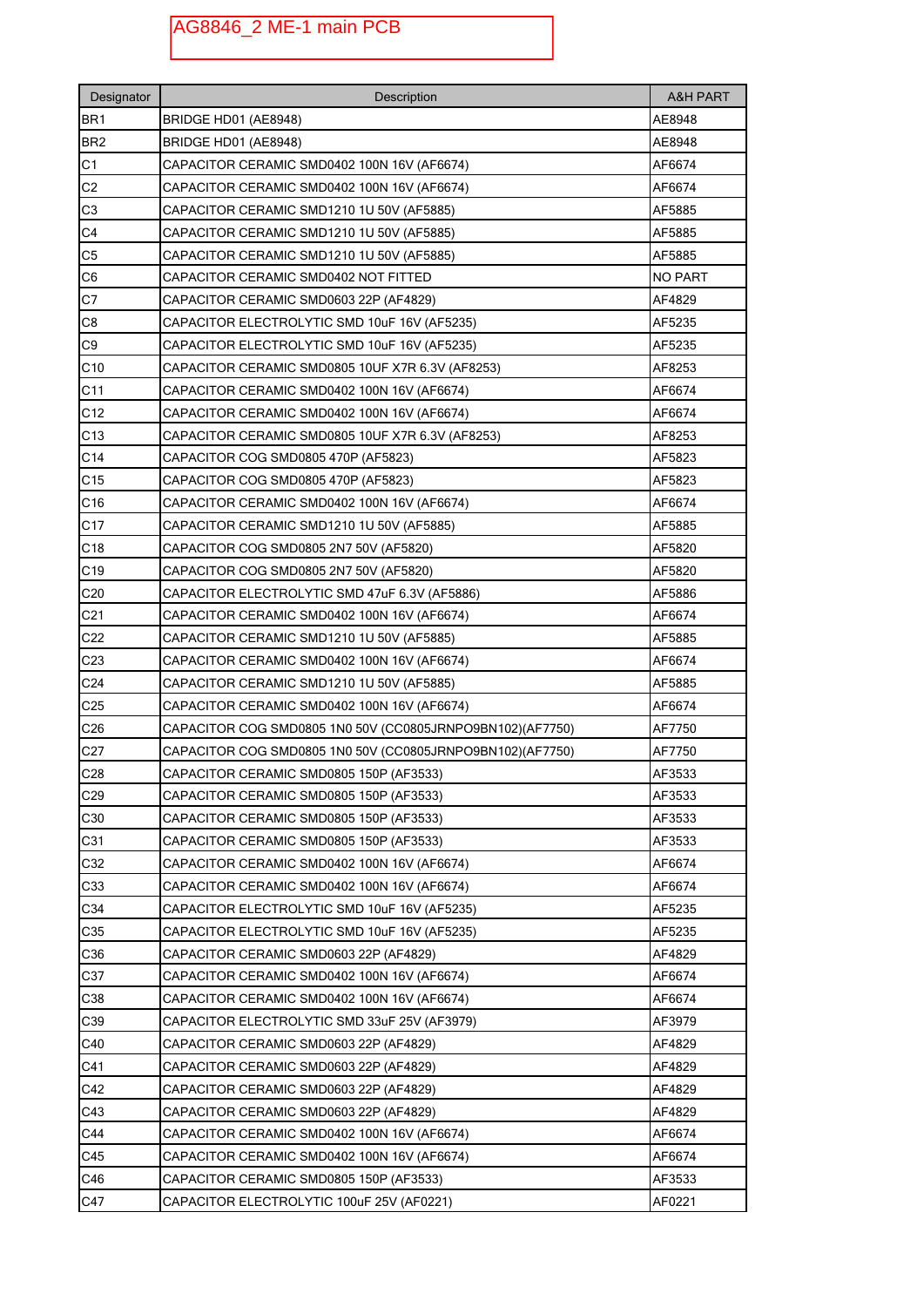## AG8846\_2 ME-1 main PCB

| Designator      | Description                                               | <b>A&amp;H PART</b> |
|-----------------|-----------------------------------------------------------|---------------------|
| BR <sub>1</sub> | BRIDGE HD01 (AE8948)                                      | AE8948              |
| BR <sub>2</sub> | BRIDGE HD01 (AE8948)                                      | AE8948              |
| C <sub>1</sub>  | CAPACITOR CERAMIC SMD0402 100N 16V (AF6674)               | AF6674              |
| C <sub>2</sub>  | CAPACITOR CERAMIC SMD0402 100N 16V (AF6674)               | AF6674              |
| C3              | CAPACITOR CERAMIC SMD1210 1U 50V (AF5885)                 | AF5885              |
| C <sub>4</sub>  | CAPACITOR CERAMIC SMD1210 1U 50V (AF5885)                 | AF5885              |
| C <sub>5</sub>  | CAPACITOR CERAMIC SMD1210 1U 50V (AF5885)                 | AF5885              |
| C6              | CAPACITOR CERAMIC SMD0402 NOT FITTED                      | <b>NO PART</b>      |
| C7              | CAPACITOR CERAMIC SMD0603 22P (AF4829)                    | AF4829              |
| C8              | CAPACITOR ELECTROLYTIC SMD 10uF 16V (AF5235)              | AF5235              |
| C <sub>9</sub>  | CAPACITOR ELECTROLYTIC SMD 10uF 16V (AF5235)              | AF5235              |
| C10             | CAPACITOR CERAMIC SMD0805 10UF X7R 6.3V (AF8253)          | AF8253              |
| C <sub>11</sub> | CAPACITOR CERAMIC SMD0402 100N 16V (AF6674)               | AF6674              |
| C <sub>12</sub> | CAPACITOR CERAMIC SMD0402 100N 16V (AF6674)               | AF6674              |
| C <sub>13</sub> | CAPACITOR CERAMIC SMD0805 10UF X7R 6.3V (AF8253)          | AF8253              |
| C <sub>14</sub> | CAPACITOR COG SMD0805 470P (AF5823)                       | AF5823              |
| C <sub>15</sub> | CAPACITOR COG SMD0805 470P (AF5823)                       | AF5823              |
| C16             | CAPACITOR CERAMIC SMD0402 100N 16V (AF6674)               | AF6674              |
| C <sub>17</sub> | CAPACITOR CERAMIC SMD1210 1U 50V (AF5885)                 | AF5885              |
| C <sub>18</sub> | CAPACITOR COG SMD0805 2N7 50V (AF5820)                    | AF5820              |
| C <sub>19</sub> | CAPACITOR COG SMD0805 2N7 50V (AF5820)                    | AF5820              |
| C <sub>20</sub> | CAPACITOR ELECTROLYTIC SMD 47uF 6.3V (AF5886)             | AF5886              |
| C21             | CAPACITOR CERAMIC SMD0402 100N 16V (AF6674)               | AF6674              |
| C <sub>22</sub> | CAPACITOR CERAMIC SMD1210 1U 50V (AF5885)                 | AF5885              |
| C <sub>23</sub> | CAPACITOR CERAMIC SMD0402 100N 16V (AF6674)               | AF6674              |
| C <sub>24</sub> | CAPACITOR CERAMIC SMD1210 1U 50V (AF5885)                 | AF5885              |
| C <sub>25</sub> | CAPACITOR CERAMIC SMD0402 100N 16V (AF6674)               | AF6674              |
| C <sub>26</sub> | CAPACITOR COG SMD0805 1N0 50V (CC0805JRNPO9BN102)(AF7750) | AF7750              |
| C <sub>27</sub> | CAPACITOR COG SMD0805 1N0 50V (CC0805JRNPO9BN102)(AF7750) | AF7750              |
| C <sub>28</sub> | CAPACITOR CERAMIC SMD0805 150P (AF3533)                   | AF3533              |
| C29             | CAPACITOR CERAMIC SMD0805 150P (AF3533)                   | AF3533              |
| C30             | CAPACITOR CERAMIC SMD0805 150P (AF3533)                   | AF3533              |
| C31             | CAPACITOR CERAMIC SMD0805 150P (AF3533)                   | AF3533              |
| C32             | CAPACITOR CERAMIC SMD0402 100N 16V (AF6674)               | AF6674              |
| C33             | CAPACITOR CERAMIC SMD0402 100N 16V (AF6674)               | AF6674              |
| C34             | CAPACITOR ELECTROLYTIC SMD 10uF 16V (AF5235)              | AF5235              |
| C35             | CAPACITOR ELECTROLYTIC SMD 10uF 16V (AF5235)              | AF5235              |
| C36             | CAPACITOR CERAMIC SMD0603 22P (AF4829)                    | AF4829              |
| C37             | CAPACITOR CERAMIC SMD0402 100N 16V (AF6674)               | AF6674              |
| C38             | CAPACITOR CERAMIC SMD0402 100N 16V (AF6674)               | AF6674              |
| C39             | CAPACITOR ELECTROLYTIC SMD 33uF 25V (AF3979)              | AF3979              |
| C40             | CAPACITOR CERAMIC SMD0603 22P (AF4829)                    | AF4829              |
| C41             | CAPACITOR CERAMIC SMD0603 22P (AF4829)                    | AF4829              |
| C42             | CAPACITOR CERAMIC SMD0603 22P (AF4829)                    | AF4829              |
| C43             | CAPACITOR CERAMIC SMD0603 22P (AF4829)                    | AF4829              |
| C44             | CAPACITOR CERAMIC SMD0402 100N 16V (AF6674)               | AF6674              |
| C45             | CAPACITOR CERAMIC SMD0402 100N 16V (AF6674)               | AF6674              |
| C46             | CAPACITOR CERAMIC SMD0805 150P (AF3533)                   | AF3533              |
| C47             | CAPACITOR ELECTROLYTIC 100uF 25V (AF0221)                 | AF0221              |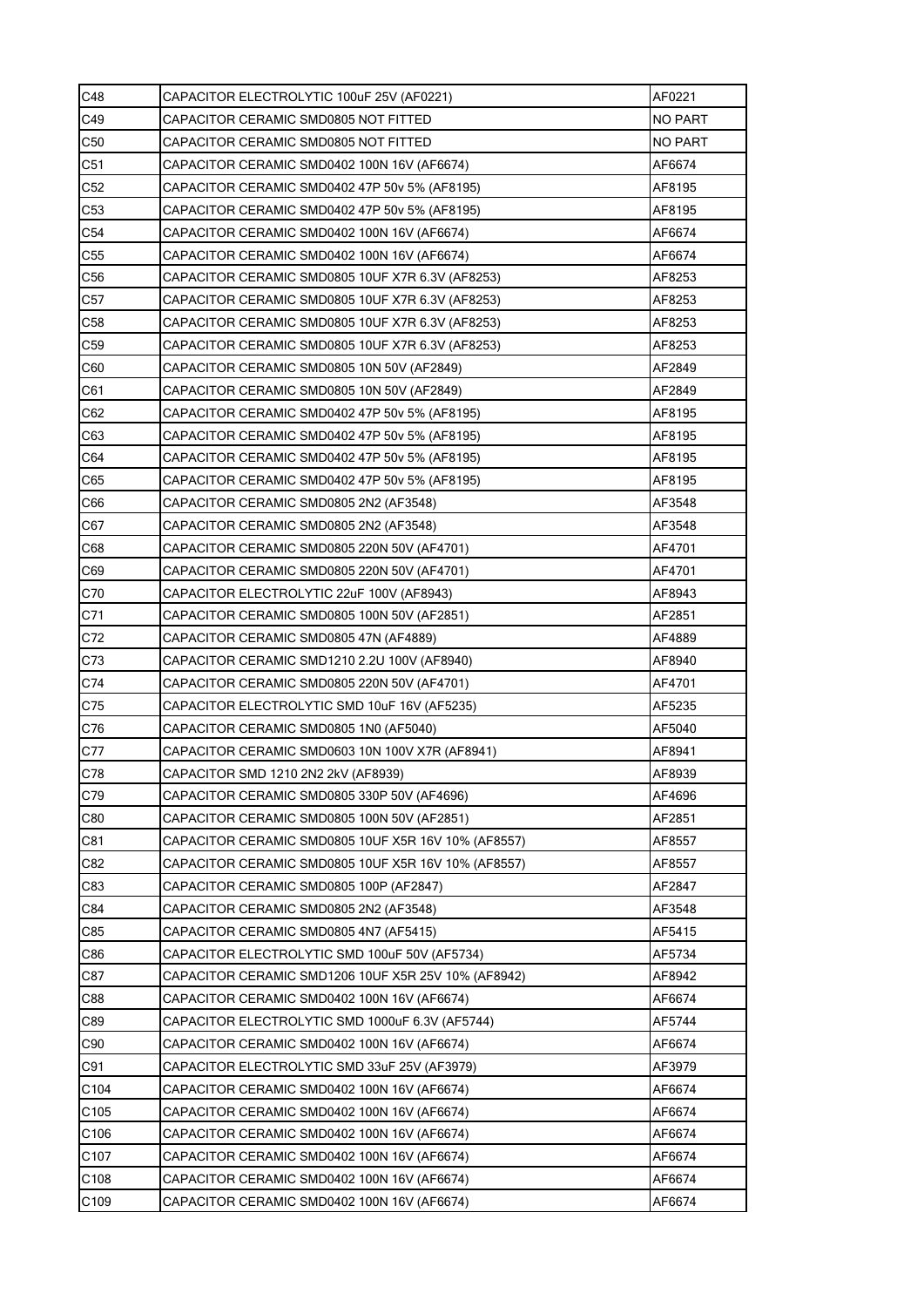| C48              | CAPACITOR ELECTROLYTIC 100uF 25V (AF0221)           | AF0221         |
|------------------|-----------------------------------------------------|----------------|
| C49              | CAPACITOR CERAMIC SMD0805 NOT FITTED                | <b>NO PART</b> |
| C <sub>50</sub>  | CAPACITOR CERAMIC SMD0805 NOT FITTED                | <b>NO PART</b> |
| C <sub>51</sub>  | CAPACITOR CERAMIC SMD0402 100N 16V (AF6674)         | AF6674         |
| C <sub>52</sub>  | CAPACITOR CERAMIC SMD0402 47P 50v 5% (AF8195)       | AF8195         |
| C <sub>53</sub>  | CAPACITOR CERAMIC SMD0402 47P 50v 5% (AF8195)       | AF8195         |
| C54              | CAPACITOR CERAMIC SMD0402 100N 16V (AF6674)         | AF6674         |
| C <sub>55</sub>  | CAPACITOR CERAMIC SMD0402 100N 16V (AF6674)         | AF6674         |
| C <sub>56</sub>  | CAPACITOR CERAMIC SMD0805 10UF X7R 6.3V (AF8253)    | AF8253         |
| C57              | CAPACITOR CERAMIC SMD0805 10UF X7R 6.3V (AF8253)    | AF8253         |
| C <sub>58</sub>  | CAPACITOR CERAMIC SMD0805 10UF X7R 6.3V (AF8253)    | AF8253         |
| C59              | CAPACITOR CERAMIC SMD0805 10UF X7R 6.3V (AF8253)    | AF8253         |
| C60              | CAPACITOR CERAMIC SMD0805 10N 50V (AF2849)          | AF2849         |
| C61              | CAPACITOR CERAMIC SMD0805 10N 50V (AF2849)          | AF2849         |
| C62              | CAPACITOR CERAMIC SMD0402 47P 50v 5% (AF8195)       | AF8195         |
| C63              | CAPACITOR CERAMIC SMD0402 47P 50v 5% (AF8195)       | AF8195         |
| C64              | CAPACITOR CERAMIC SMD0402 47P 50v 5% (AF8195)       | AF8195         |
| C65              | CAPACITOR CERAMIC SMD0402 47P 50v 5% (AF8195)       | AF8195         |
| C66              | CAPACITOR CERAMIC SMD0805 2N2 (AF3548)              | AF3548         |
| C67              | CAPACITOR CERAMIC SMD0805 2N2 (AF3548)              | AF3548         |
| C68              | CAPACITOR CERAMIC SMD0805 220N 50V (AF4701)         | AF4701         |
| C69              | CAPACITOR CERAMIC SMD0805 220N 50V (AF4701)         | AF4701         |
| C70              | CAPACITOR ELECTROLYTIC 22uF 100V (AF8943)           | AF8943         |
| C71              | CAPACITOR CERAMIC SMD0805 100N 50V (AF2851)         | AF2851         |
| C72              | CAPACITOR CERAMIC SMD0805 47N (AF4889)              | AF4889         |
| C73              | CAPACITOR CERAMIC SMD1210 2.2U 100V (AF8940)        | AF8940         |
| C74              | CAPACITOR CERAMIC SMD0805 220N 50V (AF4701)         | AF4701         |
| C75              | CAPACITOR ELECTROLYTIC SMD 10uF 16V (AF5235)        | AF5235         |
| C76              | CAPACITOR CERAMIC SMD0805 1N0 (AF5040)              | AF5040         |
| C77              | CAPACITOR CERAMIC SMD0603 10N 100V X7R (AF8941)     | AF8941         |
| C78              | CAPACITOR SMD 1210 2N2 2kV (AF8939)                 | AF8939         |
| C79              | CAPACITOR CERAMIC SMD0805 330P 50V (AF4696)         | AF4696         |
| C80              | CAPACITOR CERAMIC SMD0805 100N 50V (AF2851)         | AF2851         |
| C81              | CAPACITOR CERAMIC SMD0805 10UF X5R 16V 10% (AF8557) | AF8557         |
| C82              | CAPACITOR CERAMIC SMD0805 10UF X5R 16V 10% (AF8557) | AF8557         |
| C83              | CAPACITOR CERAMIC SMD0805 100P (AF2847)             | AF2847         |
| C84              | CAPACITOR CERAMIC SMD0805 2N2 (AF3548)              | AF3548         |
| C85              | CAPACITOR CERAMIC SMD0805 4N7 (AF5415)              | AF5415         |
| C86              | CAPACITOR ELECTROLYTIC SMD 100uF 50V (AF5734)       | AF5734         |
| C87              | CAPACITOR CERAMIC SMD1206 10UF X5R 25V 10% (AF8942) | AF8942         |
| C88              | CAPACITOR CERAMIC SMD0402 100N 16V (AF6674)         | AF6674         |
| C89              | CAPACITOR ELECTROLYTIC SMD 1000uF 6.3V (AF5744)     | AF5744         |
| C90              | CAPACITOR CERAMIC SMD0402 100N 16V (AF6674)         | AF6674         |
| C91              | CAPACITOR ELECTROLYTIC SMD 33uF 25V (AF3979)        | AF3979         |
| C104             | CAPACITOR CERAMIC SMD0402 100N 16V (AF6674)         | AF6674         |
| C105             | CAPACITOR CERAMIC SMD0402 100N 16V (AF6674)         | AF6674         |
| C <sub>106</sub> | CAPACITOR CERAMIC SMD0402 100N 16V (AF6674)         | AF6674         |
| C107             | CAPACITOR CERAMIC SMD0402 100N 16V (AF6674)         | AF6674         |
| C <sub>108</sub> | CAPACITOR CERAMIC SMD0402 100N 16V (AF6674)         | AF6674         |
| C109             | CAPACITOR CERAMIC SMD0402 100N 16V (AF6674)         | AF6674         |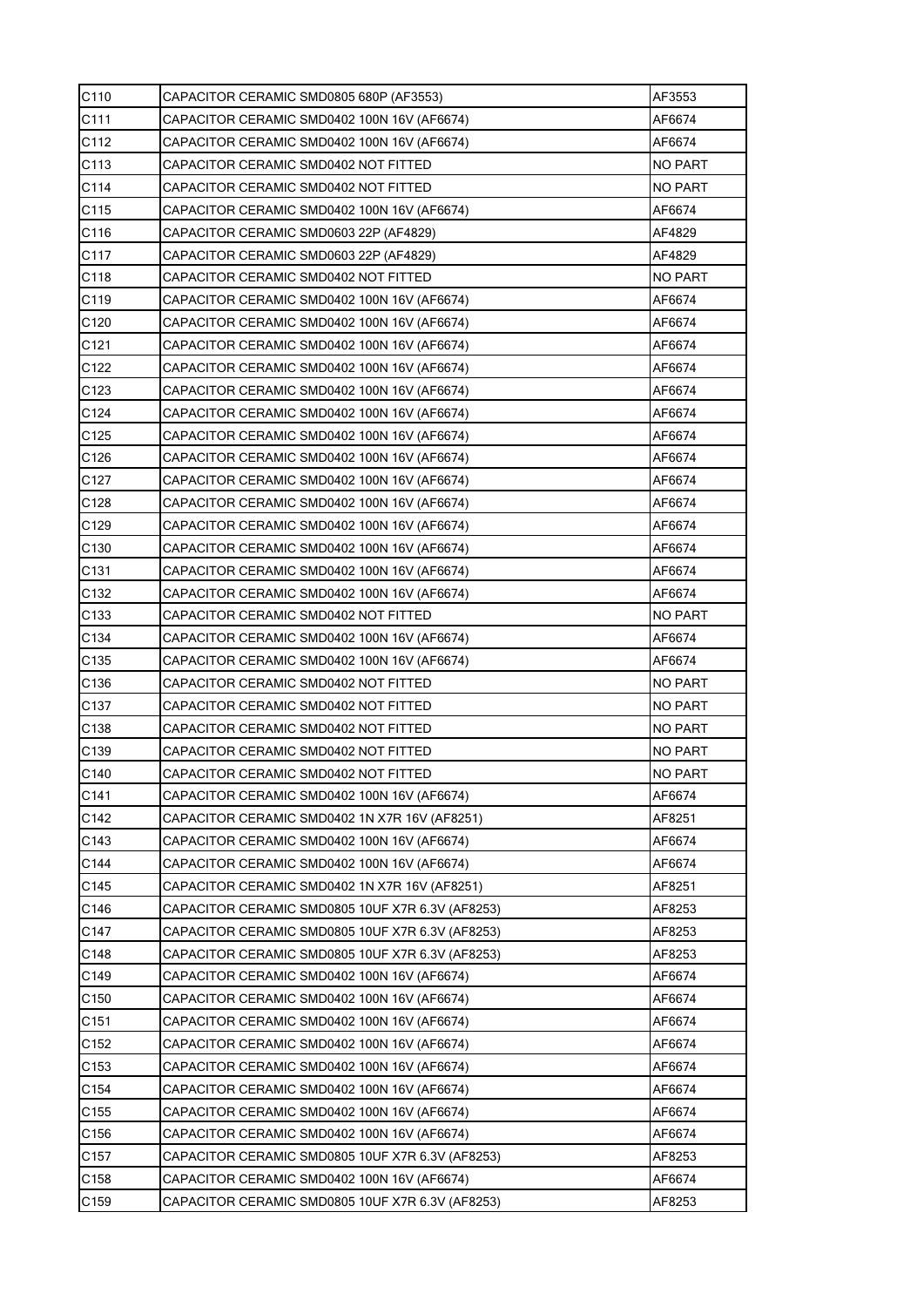| C110             | CAPACITOR CERAMIC SMD0805 680P (AF3553)          | AF3553         |
|------------------|--------------------------------------------------|----------------|
| C111             | CAPACITOR CERAMIC SMD0402 100N 16V (AF6674)      | AF6674         |
| C112             | CAPACITOR CERAMIC SMD0402 100N 16V (AF6674)      | AF6674         |
| C113             | CAPACITOR CERAMIC SMD0402 NOT FITTED             | NO PART        |
| C114             | CAPACITOR CERAMIC SMD0402 NOT FITTED             | NO PART        |
| C115             | CAPACITOR CERAMIC SMD0402 100N 16V (AF6674)      | AF6674         |
| C116             | CAPACITOR CERAMIC SMD0603 22P (AF4829)           | AF4829         |
| C117             | CAPACITOR CERAMIC SMD0603 22P (AF4829)           | AF4829         |
| C118             | CAPACITOR CERAMIC SMD0402 NOT FITTED             | NO PART        |
| C119             | CAPACITOR CERAMIC SMD0402 100N 16V (AF6674)      | AF6674         |
| C <sub>120</sub> | CAPACITOR CERAMIC SMD0402 100N 16V (AF6674)      | AF6674         |
| C121             | CAPACITOR CERAMIC SMD0402 100N 16V (AF6674)      | AF6674         |
| C122             | CAPACITOR CERAMIC SMD0402 100N 16V (AF6674)      | AF6674         |
| C123             | CAPACITOR CERAMIC SMD0402 100N 16V (AF6674)      | AF6674         |
| C124             | CAPACITOR CERAMIC SMD0402 100N 16V (AF6674)      | AF6674         |
| C <sub>125</sub> | CAPACITOR CERAMIC SMD0402 100N 16V (AF6674)      | AF6674         |
| C126             | CAPACITOR CERAMIC SMD0402 100N 16V (AF6674)      | AF6674         |
| C127             | CAPACITOR CERAMIC SMD0402 100N 16V (AF6674)      | AF6674         |
| C128             | CAPACITOR CERAMIC SMD0402 100N 16V (AF6674)      | AF6674         |
| C129             | CAPACITOR CERAMIC SMD0402 100N 16V (AF6674)      | AF6674         |
| C130             | CAPACITOR CERAMIC SMD0402 100N 16V (AF6674)      | AF6674         |
| C131             | CAPACITOR CERAMIC SMD0402 100N 16V (AF6674)      | AF6674         |
| C <sub>132</sub> | CAPACITOR CERAMIC SMD0402 100N 16V (AF6674)      | AF6674         |
| C133             | CAPACITOR CERAMIC SMD0402 NOT FITTED             | NO PART        |
| C <sub>134</sub> | CAPACITOR CERAMIC SMD0402 100N 16V (AF6674)      | AF6674         |
| C135             | CAPACITOR CERAMIC SMD0402 100N 16V (AF6674)      | AF6674         |
| C136             | CAPACITOR CERAMIC SMD0402 NOT FITTED             | NO PART        |
| C137             | CAPACITOR CERAMIC SMD0402 NOT FITTED             | NO PART        |
| C <sub>138</sub> | CAPACITOR CERAMIC SMD0402 NOT FITTED             | <b>NO PART</b> |
| C139             | CAPACITOR CERAMIC SMD0402 NOT FITTED             | <b>NO PART</b> |
| C140             | CAPACITOR CERAMIC SMD0402 NOT FITTED             | <b>NO PART</b> |
| C141             | CAPACITOR CERAMIC SMD0402 100N 16V (AF6674)      | AF6674         |
| C142             | CAPACITOR CERAMIC SMD0402 1N X7R 16V (AF8251)    | AF8251         |
| C143             | CAPACITOR CERAMIC SMD0402 100N 16V (AF6674)      | AF6674         |
| C144             | CAPACITOR CERAMIC SMD0402 100N 16V (AF6674)      | AF6674         |
| C145             | CAPACITOR CERAMIC SMD0402 1N X7R 16V (AF8251)    | AF8251         |
| C146             | CAPACITOR CERAMIC SMD0805 10UF X7R 6.3V (AF8253) | AF8253         |
| C147             | CAPACITOR CERAMIC SMD0805 10UF X7R 6.3V (AF8253) | AF8253         |
| C148             | CAPACITOR CERAMIC SMD0805 10UF X7R 6.3V (AF8253) | AF8253         |
| C149             | CAPACITOR CERAMIC SMD0402 100N 16V (AF6674)      | AF6674         |
| C150             | CAPACITOR CERAMIC SMD0402 100N 16V (AF6674)      | AF6674         |
| C <sub>151</sub> | CAPACITOR CERAMIC SMD0402 100N 16V (AF6674)      | AF6674         |
| C152             | CAPACITOR CERAMIC SMD0402 100N 16V (AF6674)      | AF6674         |
| C <sub>153</sub> | CAPACITOR CERAMIC SMD0402 100N 16V (AF6674)      | AF6674         |
| C154             | CAPACITOR CERAMIC SMD0402 100N 16V (AF6674)      | AF6674         |
| C155             | CAPACITOR CERAMIC SMD0402 100N 16V (AF6674)      | AF6674         |
| C156             | CAPACITOR CERAMIC SMD0402 100N 16V (AF6674)      | AF6674         |
| C <sub>157</sub> | CAPACITOR CERAMIC SMD0805 10UF X7R 6.3V (AF8253) | AF8253         |
| C158             | CAPACITOR CERAMIC SMD0402 100N 16V (AF6674)      | AF6674         |
| C159             | CAPACITOR CERAMIC SMD0805 10UF X7R 6.3V (AF8253) | AF8253         |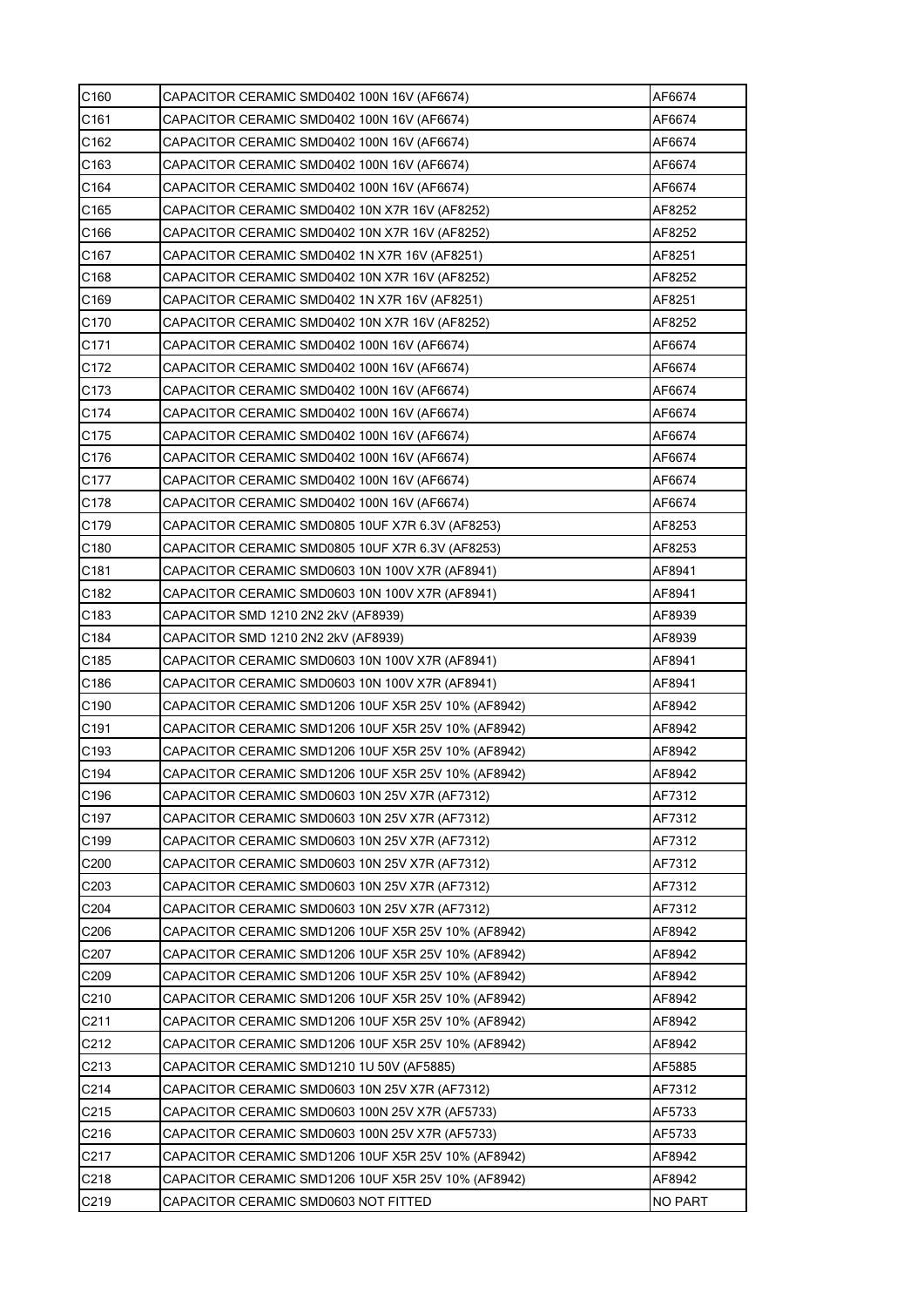| C160              | CAPACITOR CERAMIC SMD0402 100N 16V (AF6674)         | AF6674         |
|-------------------|-----------------------------------------------------|----------------|
| C161              | CAPACITOR CERAMIC SMD0402 100N 16V (AF6674)         | AF6674         |
| C <sub>162</sub>  | CAPACITOR CERAMIC SMD0402 100N 16V (AF6674)         | AF6674         |
| C <sub>163</sub>  | CAPACITOR CERAMIC SMD0402 100N 16V (AF6674)         | AF6674         |
| C164              | CAPACITOR CERAMIC SMD0402 100N 16V (AF6674)         | AF6674         |
| C165              | CAPACITOR CERAMIC SMD0402 10N X7R 16V (AF8252)      | AF8252         |
| C166              | CAPACITOR CERAMIC SMD0402 10N X7R 16V (AF8252)      | AF8252         |
| C167              | CAPACITOR CERAMIC SMD0402 1N X7R 16V (AF8251)       | AF8251         |
| C <sub>168</sub>  | CAPACITOR CERAMIC SMD0402 10N X7R 16V (AF8252)      | AF8252         |
| C169              | CAPACITOR CERAMIC SMD0402 1N X7R 16V (AF8251)       | AF8251         |
| C170              | CAPACITOR CERAMIC SMD0402 10N X7R 16V (AF8252)      | AF8252         |
| C171              | CAPACITOR CERAMIC SMD0402 100N 16V (AF6674)         | AF6674         |
| C172              | CAPACITOR CERAMIC SMD0402 100N 16V (AF6674)         | AF6674         |
| C173              | CAPACITOR CERAMIC SMD0402 100N 16V (AF6674)         | AF6674         |
| C174              | CAPACITOR CERAMIC SMD0402 100N 16V (AF6674)         | AF6674         |
| C175              | CAPACITOR CERAMIC SMD0402 100N 16V (AF6674)         | AF6674         |
| C176              | CAPACITOR CERAMIC SMD0402 100N 16V (AF6674)         | AF6674         |
| C177              | CAPACITOR CERAMIC SMD0402 100N 16V (AF6674)         | AF6674         |
| C178              | CAPACITOR CERAMIC SMD0402 100N 16V (AF6674)         | AF6674         |
| C179              | CAPACITOR CERAMIC SMD0805 10UF X7R 6.3V (AF8253)    | AF8253         |
| C180              | CAPACITOR CERAMIC SMD0805 10UF X7R 6.3V (AF8253)    | AF8253         |
| C <sub>181</sub>  | CAPACITOR CERAMIC SMD0603 10N 100V X7R (AF8941)     | AF8941         |
| C182              | CAPACITOR CERAMIC SMD0603 10N 100V X7R (AF8941)     | AF8941         |
| C183              | CAPACITOR SMD 1210 2N2 2kV (AF8939)                 | AF8939         |
| C184              | CAPACITOR SMD 1210 2N2 2kV (AF8939)                 | AF8939         |
| C185              | CAPACITOR CERAMIC SMD0603 10N 100V X7R (AF8941)     | AF8941         |
| C186              | CAPACITOR CERAMIC SMD0603 10N 100V X7R (AF8941)     | AF8941         |
| C <sub>190</sub>  | CAPACITOR CERAMIC SMD1206 10UF X5R 25V 10% (AF8942) | AF8942         |
| C <sub>191</sub>  | CAPACITOR CERAMIC SMD1206 10UF X5R 25V 10% (AF8942) | AF8942         |
| C <sub>193</sub>  | CAPACITOR CERAMIC SMD1206 10UF X5R 25V 10% (AF8942) | AF8942         |
| C194              | CAPACITOR CERAMIC SMD1206 10UF X5R 25V 10% (AF8942) | AF8942         |
| C196              | CAPACITOR CERAMIC SMD0603 10N 25V X7R (AF7312)      | AF7312         |
| C197              | CAPACITOR CERAMIC SMD0603 10N 25V X7R (AF7312)      | AF7312         |
| C199              | CAPACITOR CERAMIC SMD0603 10N 25V X7R (AF7312)      | AF7312         |
| C <sub>200</sub>  | CAPACITOR CERAMIC SMD0603 10N 25V X7R (AF7312)      | AF7312         |
| C203              | CAPACITOR CERAMIC SMD0603 10N 25V X7R (AF7312)      | AF7312         |
| C204              | CAPACITOR CERAMIC SMD0603 10N 25V X7R (AF7312)      | AF7312         |
| C206              | CAPACITOR CERAMIC SMD1206 10UF X5R 25V 10% (AF8942) | AF8942         |
| C207              | CAPACITOR CERAMIC SMD1206 10UF X5R 25V 10% (AF8942) | AF8942         |
| C209              | CAPACITOR CERAMIC SMD1206 10UF X5R 25V 10% (AF8942) | AF8942         |
| C210              | CAPACITOR CERAMIC SMD1206 10UF X5R 25V 10% (AF8942) | AF8942         |
| C211              | CAPACITOR CERAMIC SMD1206 10UF X5R 25V 10% (AF8942) | AF8942         |
| C212              | CAPACITOR CERAMIC SMD1206 10UF X5R 25V 10% (AF8942) | AF8942         |
| C <sub>2</sub> 13 | CAPACITOR CERAMIC SMD1210 1U 50V (AF5885)           | AF5885         |
| C214              | CAPACITOR CERAMIC SMD0603 10N 25V X7R (AF7312)      | AF7312         |
| C215              | CAPACITOR CERAMIC SMD0603 100N 25V X7R (AF5733)     | AF5733         |
| C216              | CAPACITOR CERAMIC SMD0603 100N 25V X7R (AF5733)     | AF5733         |
| C217              | CAPACITOR CERAMIC SMD1206 10UF X5R 25V 10% (AF8942) | AF8942         |
| C218              | CAPACITOR CERAMIC SMD1206 10UF X5R 25V 10% (AF8942) | AF8942         |
| C219              | CAPACITOR CERAMIC SMD0603 NOT FITTED                | <b>NO PART</b> |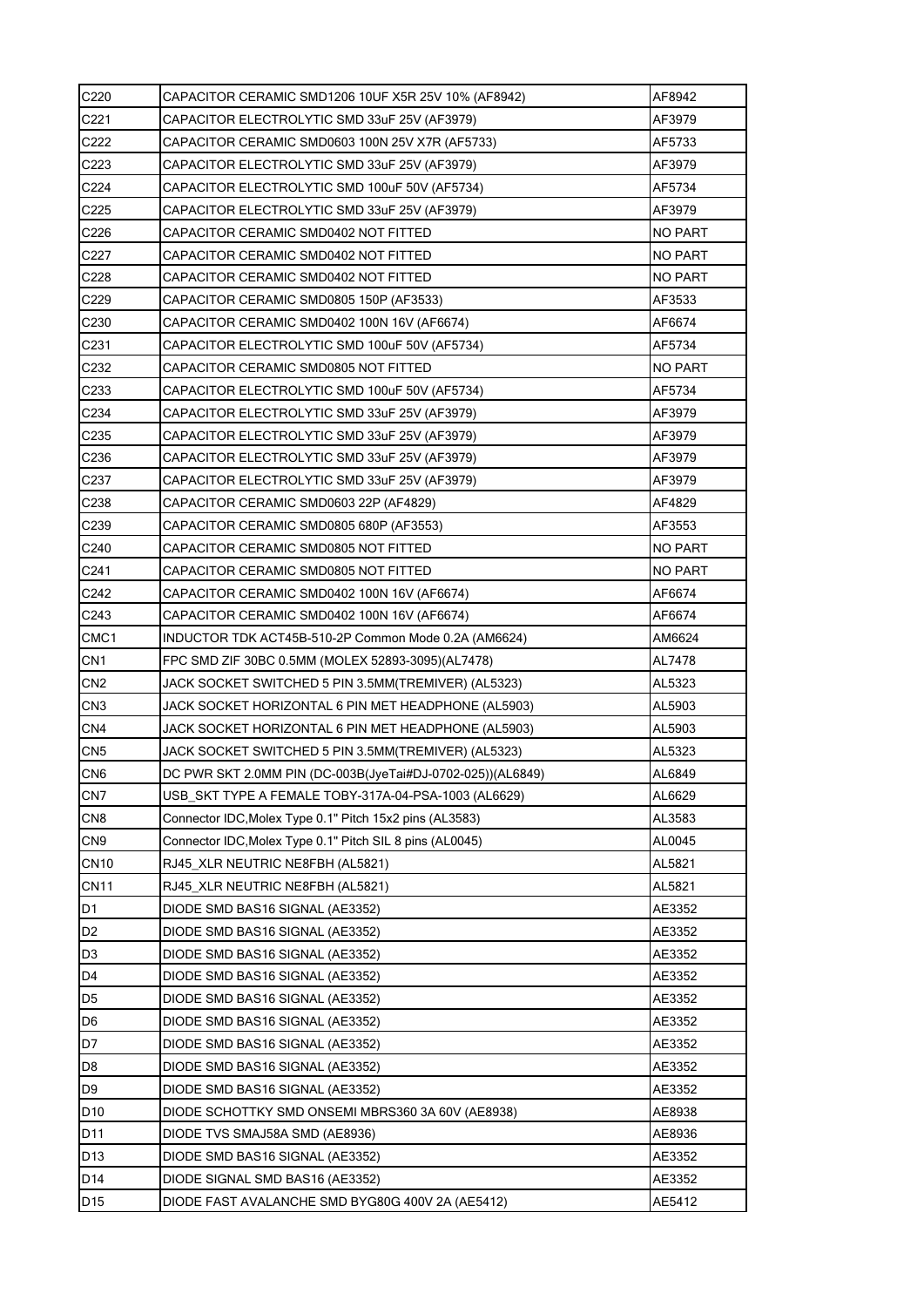| C220             | CAPACITOR CERAMIC SMD1206 10UF X5R 25V 10% (AF8942)        | AF8942         |
|------------------|------------------------------------------------------------|----------------|
| C221             | CAPACITOR ELECTROLYTIC SMD 33uF 25V (AF3979)               | AF3979         |
| C <sub>222</sub> | CAPACITOR CERAMIC SMD0603 100N 25V X7R (AF5733)            | AF5733         |
| C <sub>223</sub> | CAPACITOR ELECTROLYTIC SMD 33uF 25V (AF3979)               | AF3979         |
| C224             | CAPACITOR ELECTROLYTIC SMD 100uF 50V (AF5734)              | AF5734         |
| C <sub>225</sub> | CAPACITOR ELECTROLYTIC SMD 33uF 25V (AF3979)               | AF3979         |
| C226             | CAPACITOR CERAMIC SMD0402 NOT FITTED                       | NO PART        |
| C227             | CAPACITOR CERAMIC SMD0402 NOT FITTED                       | NO PART        |
| C <sub>228</sub> | CAPACITOR CERAMIC SMD0402 NOT FITTED                       | NO PART        |
| C229             | CAPACITOR CERAMIC SMD0805 150P (AF3533)                    | AF3533         |
| C <sub>230</sub> | CAPACITOR CERAMIC SMD0402 100N 16V (AF6674)                | AF6674         |
| C231             | CAPACITOR ELECTROLYTIC SMD 100uF 50V (AF5734)              | AF5734         |
| C <sub>232</sub> | CAPACITOR CERAMIC SMD0805 NOT FITTED                       | NO PART        |
| C233             | CAPACITOR ELECTROLYTIC SMD 100uF 50V (AF5734)              | AF5734         |
| C <sub>234</sub> | CAPACITOR ELECTROLYTIC SMD 33uF 25V (AF3979)               | AF3979         |
| C <sub>235</sub> | CAPACITOR ELECTROLYTIC SMD 33uF 25V (AF3979)               | AF3979         |
| C236             | CAPACITOR ELECTROLYTIC SMD 33uF 25V (AF3979)               | AF3979         |
| C <sub>237</sub> | CAPACITOR ELECTROLYTIC SMD 33uF 25V (AF3979)               | AF3979         |
| C238             | CAPACITOR CERAMIC SMD0603 22P (AF4829)                     | AF4829         |
| C239             | CAPACITOR CERAMIC SMD0805 680P (AF3553)                    | AF3553         |
| C240             | CAPACITOR CERAMIC SMD0805 NOT FITTED                       | <b>NO PART</b> |
| C <sub>241</sub> | CAPACITOR CERAMIC SMD0805 NOT FITTED                       | <b>NO PART</b> |
| C242             | CAPACITOR CERAMIC SMD0402 100N 16V (AF6674)                | AF6674         |
| C <sub>243</sub> | CAPACITOR CERAMIC SMD0402 100N 16V (AF6674)                | AF6674         |
| CMC <sub>1</sub> | INDUCTOR TDK ACT45B-510-2P Common Mode 0.2A (AM6624)       | AM6624         |
| CN <sub>1</sub>  | FPC SMD ZIF 30BC 0.5MM (MOLEX 52893-3095)(AL7478)          | AL7478         |
| CN <sub>2</sub>  | JACK SOCKET SWITCHED 5 PIN 3.5MM(TREMIVER) (AL5323)        | AL5323         |
| CN <sub>3</sub>  | JACK SOCKET HORIZONTAL 6 PIN MET HEADPHONE (AL5903)        | AL5903         |
| CN <sub>4</sub>  | JACK SOCKET HORIZONTAL 6 PIN MET HEADPHONE (AL5903)        | AL5903         |
| CN <sub>5</sub>  | JACK SOCKET SWITCHED 5 PIN 3.5MM(TREMIVER) (AL5323)        | AL5323         |
| CN <sub>6</sub>  | DC PWR SKT 2.0MM PIN (DC-003B(JyeTai#DJ-0702-025))(AL6849) | AL6849         |
| CN <sub>7</sub>  | USB SKT TYPE A FEMALE TOBY-317A-04-PSA-1003 (AL6629)       | AL6629         |
| CN <sub>8</sub>  | Connector IDC, Molex Type 0.1" Pitch 15x2 pins (AL3583)    | AL3583         |
| CN <sub>9</sub>  | Connector IDC, Molex Type 0.1" Pitch SIL 8 pins (AL0045)   | AL0045         |
| <b>CN10</b>      | RJ45_XLR NEUTRIC NE8FBH (AL5821)                           | AL5821         |
| <b>CN11</b>      | RJ45_XLR NEUTRIC NE8FBH (AL5821)                           | AL5821         |
| D <sub>1</sub>   | DIODE SMD BAS16 SIGNAL (AE3352)                            | AE3352         |
| D <sub>2</sub>   | DIODE SMD BAS16 SIGNAL (AE3352)                            | AE3352         |
| D <sub>3</sub>   | DIODE SMD BAS16 SIGNAL (AE3352)                            | AE3352         |
| D <sub>4</sub>   | DIODE SMD BAS16 SIGNAL (AE3352)                            | AE3352         |
| D <sub>5</sub>   | DIODE SMD BAS16 SIGNAL (AE3352)                            | AE3352         |
| D <sub>6</sub>   | DIODE SMD BAS16 SIGNAL (AE3352)                            | AE3352         |
| D7               | DIODE SMD BAS16 SIGNAL (AE3352)                            | AE3352         |
| D <sub>8</sub>   | DIODE SMD BAS16 SIGNAL (AE3352)                            | AE3352         |
| D <sub>9</sub>   | DIODE SMD BAS16 SIGNAL (AE3352)                            | AE3352         |
| D <sub>10</sub>  | DIODE SCHOTTKY SMD ONSEMI MBRS360 3A 60V (AE8938)          | AE8938         |
| D <sub>11</sub>  | DIODE TVS SMAJ58A SMD (AE8936)                             | AE8936         |
| D <sub>13</sub>  | DIODE SMD BAS16 SIGNAL (AE3352)                            | AE3352         |
| D <sub>14</sub>  | DIODE SIGNAL SMD BAS16 (AE3352)                            | AE3352         |
| D <sub>15</sub>  | DIODE FAST AVALANCHE SMD BYG80G 400V 2A (AE5412)           | AE5412         |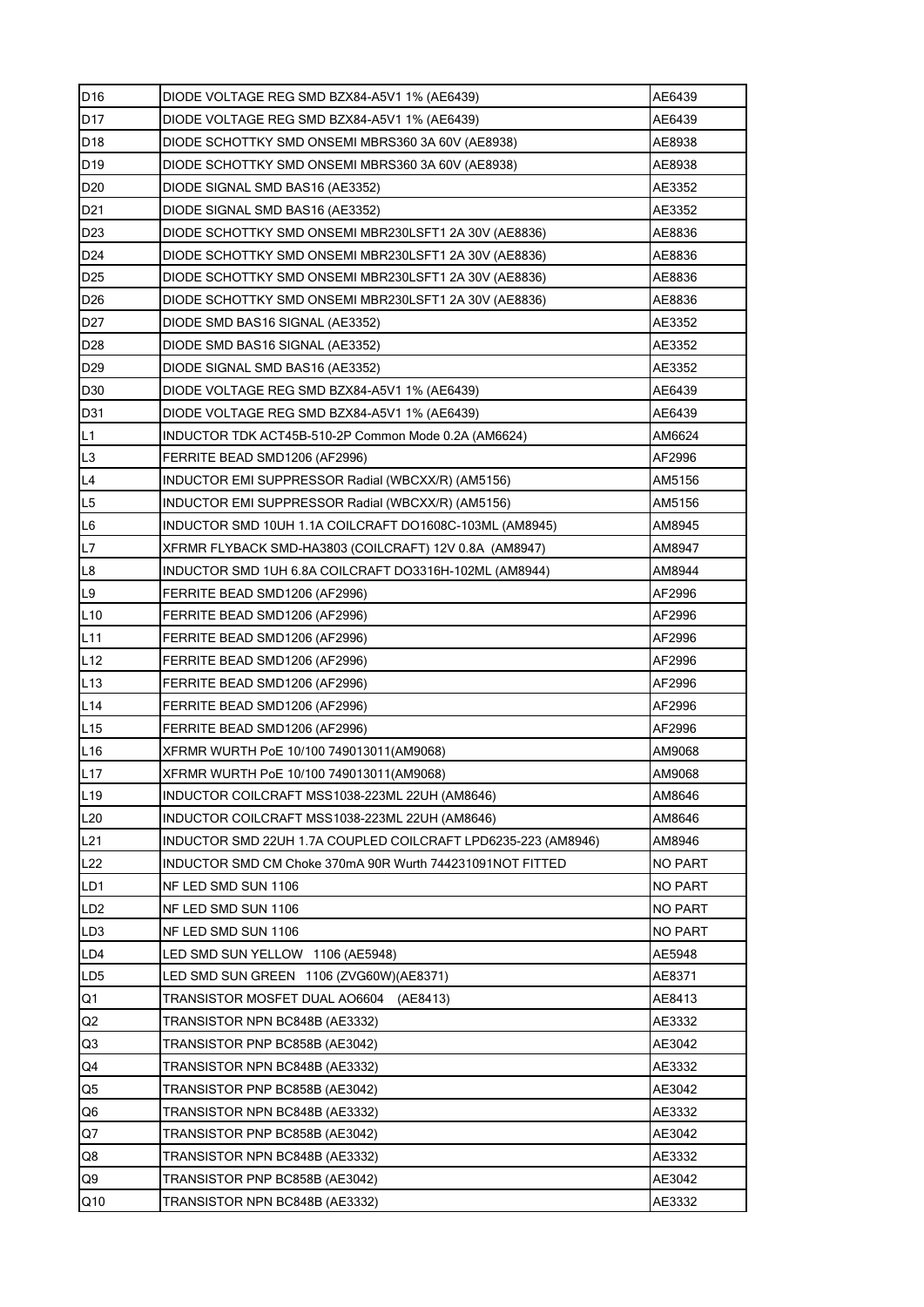| D16             | DIODE VOLTAGE REG SMD BZX84-A5V1 1% (AE6439)                  | AE6439         |
|-----------------|---------------------------------------------------------------|----------------|
| D <sub>17</sub> | DIODE VOLTAGE REG SMD BZX84-A5V1 1% (AE6439)                  | AE6439         |
| D <sub>18</sub> | DIODE SCHOTTKY SMD ONSEMI MBRS360 3A 60V (AE8938)             | AE8938         |
| D <sub>19</sub> | DIODE SCHOTTKY SMD ONSEMI MBRS360 3A 60V (AE8938)             | AE8938         |
| D <sub>20</sub> | DIODE SIGNAL SMD BAS16 (AE3352)                               | AE3352         |
| D <sub>21</sub> | DIODE SIGNAL SMD BAS16 (AE3352)                               | AE3352         |
| D <sub>23</sub> | DIODE SCHOTTKY SMD ONSEMI MBR230LSFT1 2A 30V (AE8836)         | AE8836         |
| D <sub>24</sub> | DIODE SCHOTTKY SMD ONSEMI MBR230LSFT1 2A 30V (AE8836)         | AE8836         |
| D <sub>25</sub> | DIODE SCHOTTKY SMD ONSEMI MBR230LSFT1 2A 30V (AE8836)         | AE8836         |
| D <sub>26</sub> | DIODE SCHOTTKY SMD ONSEMI MBR230LSFT1 2A 30V (AE8836)         | AE8836         |
| D <sub>27</sub> | DIODE SMD BAS16 SIGNAL (AE3352)                               | AE3352         |
| D <sub>28</sub> | DIODE SMD BAS16 SIGNAL (AE3352)                               | AE3352         |
| D <sub>29</sub> | DIODE SIGNAL SMD BAS16 (AE3352)                               | AE3352         |
| D <sub>30</sub> | DIODE VOLTAGE REG SMD BZX84-A5V1 1% (AE6439)                  | AE6439         |
| D31             | DIODE VOLTAGE REG SMD BZX84-A5V1 1% (AE6439)                  | AE6439         |
| L1              | INDUCTOR TDK ACT45B-510-2P Common Mode 0.2A (AM6624)          | AM6624         |
| L <sub>3</sub>  | FERRITE BEAD SMD1206 (AF2996)                                 | AF2996         |
| L4              | INDUCTOR EMI SUPPRESSOR Radial (WBCXX/R) (AM5156)             | AM5156         |
| L <sub>5</sub>  | INDUCTOR EMI SUPPRESSOR Radial (WBCXX/R) (AM5156)             | AM5156         |
| L6              | INDUCTOR SMD 10UH 1.1A COILCRAFT DO1608C-103ML (AM8945)       | AM8945         |
| L7              | XFRMR FLYBACK SMD-HA3803 (COILCRAFT) 12V 0.8A (AM8947)        | AM8947         |
| L8              | INDUCTOR SMD 1UH 6.8A COILCRAFT DO3316H-102ML (AM8944)        | AM8944         |
| L9              | FERRITE BEAD SMD1206 (AF2996)                                 | AF2996         |
| L10             | FERRITE BEAD SMD1206 (AF2996)                                 | AF2996         |
| L11             | FERRITE BEAD SMD1206 (AF2996)                                 | AF2996         |
| L12             | FERRITE BEAD SMD1206 (AF2996)                                 | AF2996         |
| L <sub>13</sub> | FERRITE BEAD SMD1206 (AF2996)                                 | AF2996         |
| L14             | FERRITE BEAD SMD1206 (AF2996)                                 | AF2996         |
| L15             | FERRITE BEAD SMD1206 (AF2996)                                 | AF2996         |
| L16             | XFRMR WURTH PoE 10/100 749013011(AM9068)                      | AM9068         |
| L17             | XFRMR WURTH PoE 10/100 749013011(AM9068)                      | AM9068         |
| L19             | INDUCTOR COILCRAFT MSS1038-223ML 22UH (AM8646)                | AM8646         |
| L20             | INDUCTOR COILCRAFT MSS1038-223ML 22UH (AM8646)                | AM8646         |
| L21             | INDUCTOR SMD 22UH 1.7A COUPLED COILCRAFT LPD6235-223 (AM8946) | AM8946         |
| L22             | INDUCTOR SMD CM Choke 370mA 90R Wurth 744231091NOT FITTED     | NO PART        |
| LD1             | NF LED SMD SUN 1106                                           | <b>NO PART</b> |
| LD <sub>2</sub> | NF LED SMD SUN 1106                                           | NO PART        |
| LD <sub>3</sub> | NF LED SMD SUN 1106                                           | <b>NO PART</b> |
| LD4             | LED SMD SUN YELLOW 1106 (AE5948)                              | AE5948         |
| LD <sub>5</sub> | LED SMD SUN GREEN 1106 (ZVG60W) (AE8371)                      | AE8371         |
| Q1              | TRANSISTOR MOSFET DUAL AO6604 (AE8413)                        | AE8413         |
| Q2              | TRANSISTOR NPN BC848B (AE3332)                                | AE3332         |
| Q3              | TRANSISTOR PNP BC858B (AE3042)                                | AE3042         |
| Q4              | TRANSISTOR NPN BC848B (AE3332)                                | AE3332         |
| Q5              | TRANSISTOR PNP BC858B (AE3042)                                | AE3042         |
| Q6              | TRANSISTOR NPN BC848B (AE3332)                                | AE3332         |
| Q7              | TRANSISTOR PNP BC858B (AE3042)                                | AE3042         |
| Q8              | TRANSISTOR NPN BC848B (AE3332)                                | AE3332         |
| Q9              | TRANSISTOR PNP BC858B (AE3042)                                | AE3042         |
| Q10             | TRANSISTOR NPN BC848B (AE3332)                                | AE3332         |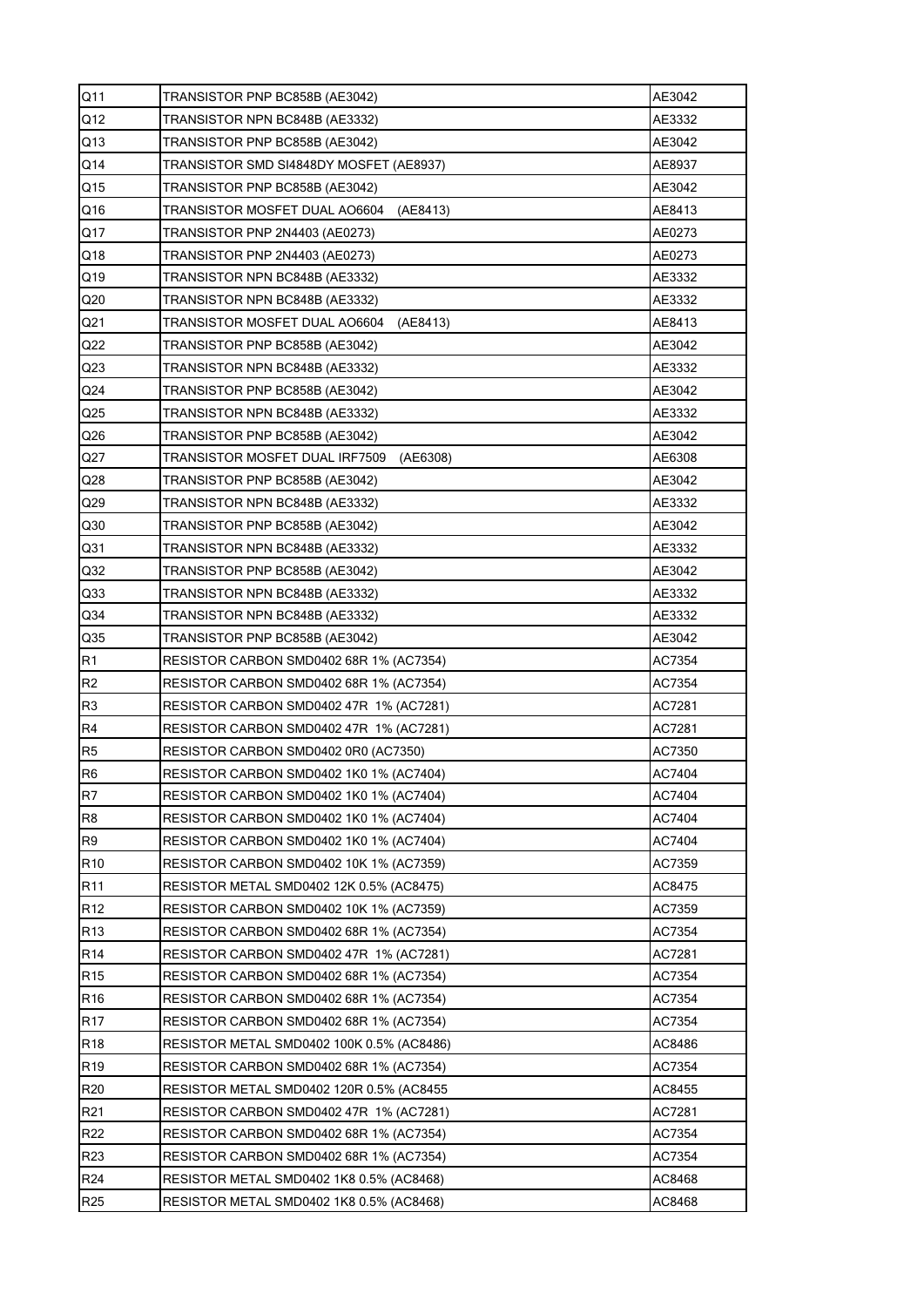| Q <sub>11</sub> | TRANSISTOR PNP BC858B (AE3042)             | AE3042 |
|-----------------|--------------------------------------------|--------|
| Q12             | TRANSISTOR NPN BC848B (AE3332)             | AE3332 |
| Q13             | TRANSISTOR PNP BC858B (AE3042)             | AE3042 |
| Q14             | TRANSISTOR SMD SI4848DY MOSFET (AE8937)    | AE8937 |
| Q15             | TRANSISTOR PNP BC858B (AE3042)             | AE3042 |
| Q16             | TRANSISTOR MOSFET DUAL AO6604<br>(AE8413)  | AE8413 |
| Q17             | TRANSISTOR PNP 2N4403 (AE0273)             | AE0273 |
| Q18             | TRANSISTOR PNP 2N4403 (AE0273)             | AE0273 |
| Q19             | TRANSISTOR NPN BC848B (AE3332)             | AE3332 |
| Q20             | TRANSISTOR NPN BC848B (AE3332)             | AE3332 |
| Q <sub>21</sub> | TRANSISTOR MOSFET DUAL AO6604<br>(AE8413)  | AE8413 |
| Q22             | TRANSISTOR PNP BC858B (AE3042)             | AE3042 |
| Q <sub>23</sub> | TRANSISTOR NPN BC848B (AE3332)             | AE3332 |
| Q24             | TRANSISTOR PNP BC858B (AE3042)             | AE3042 |
| Q <sub>25</sub> | TRANSISTOR NPN BC848B (AE3332)             | AE3332 |
| Q26             | TRANSISTOR PNP BC858B (AE3042)             | AE3042 |
| Q27             | TRANSISTOR MOSFET DUAL IRF7509<br>(AE6308) | AE6308 |
| Q <sub>28</sub> | TRANSISTOR PNP BC858B (AE3042)             | AE3042 |
| Q29             | TRANSISTOR NPN BC848B (AE3332)             | AE3332 |
| Q30             | TRANSISTOR PNP BC858B (AE3042)             | AE3042 |
| Q31             | TRANSISTOR NPN BC848B (AE3332)             | AE3332 |
| Q32             | TRANSISTOR PNP BC858B (AE3042)             | AE3042 |
| Q <sub>33</sub> | TRANSISTOR NPN BC848B (AE3332)             | AE3332 |
| Q34             | TRANSISTOR NPN BC848B (AE3332)             | AE3332 |
| Q <sub>35</sub> | TRANSISTOR PNP BC858B (AE3042)             | AE3042 |
| R1              | RESISTOR CARBON SMD0402 68R 1% (AC7354)    | AC7354 |
| R <sub>2</sub>  | RESISTOR CARBON SMD0402 68R 1% (AC7354)    | AC7354 |
| R <sub>3</sub>  | RESISTOR CARBON SMD0402 47R 1% (AC7281)    | AC7281 |
| R <sub>4</sub>  | RESISTOR CARBON SMD0402 47R 1% (AC7281)    | AC7281 |
| R <sub>5</sub>  | RESISTOR CARBON SMD0402 0R0 (AC7350)       | AC7350 |
| R <sub>6</sub>  | RESISTOR CARBON SMD0402 1K0 1% (AC7404)    | AC7404 |
| R <sub>7</sub>  | RESISTOR CARBON SMD0402 1K0 1% (AC7404)    | AC7404 |
| R <sub>8</sub>  | RESISTOR CARBON SMD0402 1K0 1% (AC7404)    | AC7404 |
| R <sub>9</sub>  | RESISTOR CARBON SMD0402 1K0 1% (AC7404)    | AC7404 |
| R <sub>10</sub> | RESISTOR CARBON SMD0402 10K 1% (AC7359)    | AC7359 |
| R11             | RESISTOR METAL SMD0402 12K 0.5% (AC8475)   | AC8475 |
| R <sub>12</sub> | RESISTOR CARBON SMD0402 10K 1% (AC7359)    | AC7359 |
| R <sub>13</sub> | RESISTOR CARBON SMD0402 68R 1% (AC7354)    | AC7354 |
| R <sub>14</sub> | RESISTOR CARBON SMD0402 47R 1% (AC7281)    | AC7281 |
| R <sub>15</sub> | RESISTOR CARBON SMD0402 68R 1% (AC7354)    | AC7354 |
| R <sub>16</sub> | RESISTOR CARBON SMD0402 68R 1% (AC7354)    | AC7354 |
| R <sub>17</sub> | RESISTOR CARBON SMD0402 68R 1% (AC7354)    | AC7354 |
| R <sub>18</sub> | RESISTOR METAL SMD0402 100K 0.5% (AC8486)  | AC8486 |
| R <sub>19</sub> | RESISTOR CARBON SMD0402 68R 1% (AC7354)    | AC7354 |
| R <sub>20</sub> | RESISTOR METAL SMD0402 120R 0.5% (AC8455   | AC8455 |
| R21             | RESISTOR CARBON SMD0402 47R 1% (AC7281)    | AC7281 |
| R22             | RESISTOR CARBON SMD0402 68R 1% (AC7354)    | AC7354 |
| R <sub>23</sub> | RESISTOR CARBON SMD0402 68R 1% (AC7354)    | AC7354 |
| R <sub>24</sub> | RESISTOR METAL SMD0402 1K8 0.5% (AC8468)   | AC8468 |
| R <sub>25</sub> | RESISTOR METAL SMD0402 1K8 0.5% (AC8468)   | AC8468 |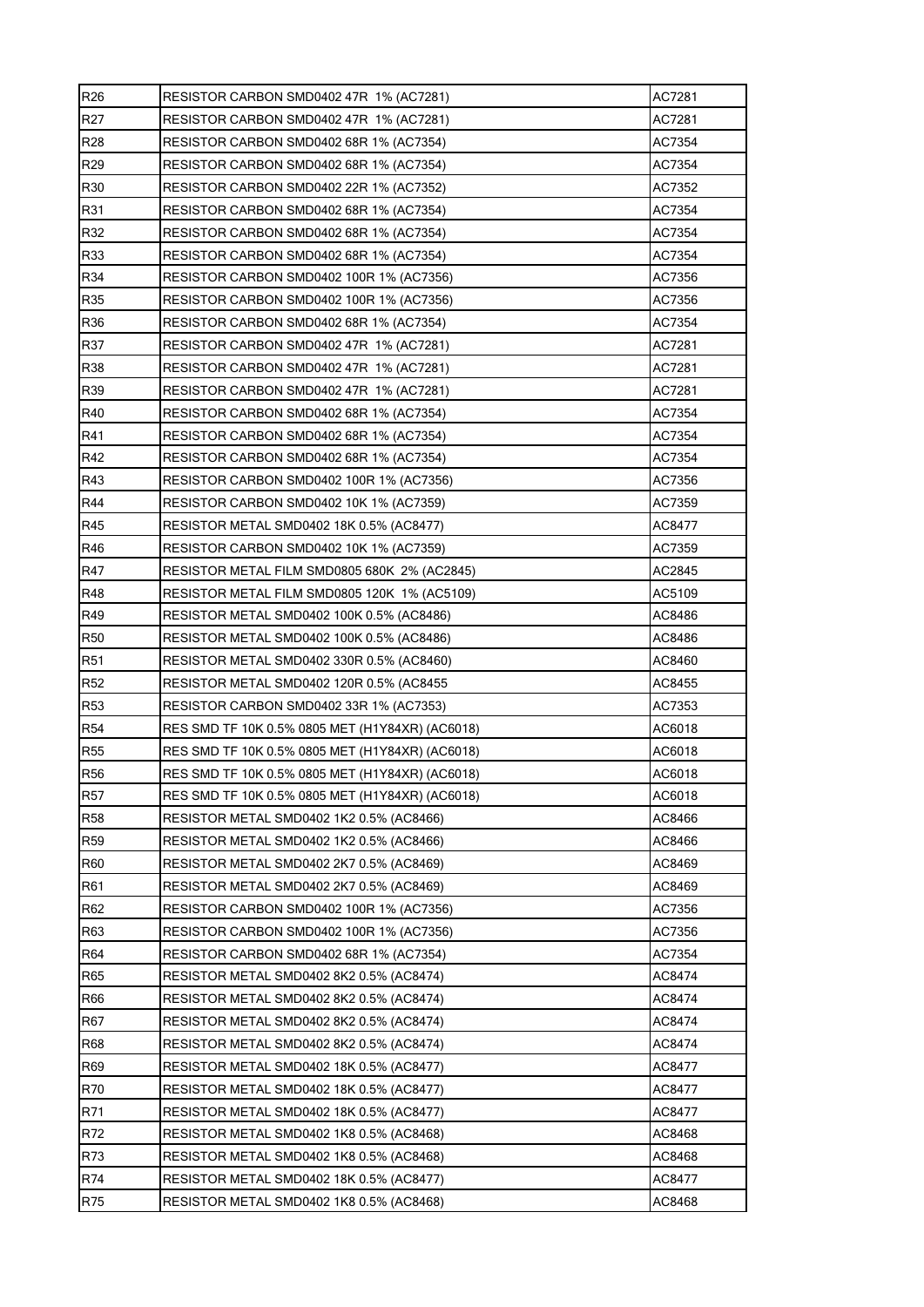| R <sub>26</sub> | RESISTOR CARBON SMD0402 47R_1% (AC7281)         | AC7281 |
|-----------------|-------------------------------------------------|--------|
| R27             | RESISTOR CARBON SMD0402 47R 1% (AC7281)         | AC7281 |
| R28             | RESISTOR CARBON SMD0402 68R 1% (AC7354)         | AC7354 |
| R <sub>29</sub> | RESISTOR CARBON SMD0402 68R 1% (AC7354)         | AC7354 |
| R30             | RESISTOR CARBON SMD0402 22R 1% (AC7352)         | AC7352 |
| R31             | RESISTOR CARBON SMD0402 68R 1% (AC7354)         | AC7354 |
| R32             | RESISTOR CARBON SMD0402 68R 1% (AC7354)         | AC7354 |
| R33             | RESISTOR CARBON SMD0402 68R 1% (AC7354)         | AC7354 |
| R34             | RESISTOR CARBON SMD0402 100R 1% (AC7356)        | AC7356 |
| R35             | RESISTOR CARBON SMD0402 100R 1% (AC7356)        | AC7356 |
| R36             | RESISTOR CARBON SMD0402 68R 1% (AC7354)         | AC7354 |
| R37             | RESISTOR CARBON SMD0402 47R 1% (AC7281)         | AC7281 |
| R38             | RESISTOR CARBON SMD0402 47R 1% (AC7281)         | AC7281 |
| R39             | RESISTOR CARBON SMD0402 47R 1% (AC7281)         | AC7281 |
| R40             | RESISTOR CARBON SMD0402 68R 1% (AC7354)         | AC7354 |
| R41             | RESISTOR CARBON SMD0402 68R 1% (AC7354)         | AC7354 |
| R42             | RESISTOR CARBON SMD0402 68R 1% (AC7354)         | AC7354 |
| R43             | RESISTOR CARBON SMD0402 100R 1% (AC7356)        | AC7356 |
| R44             | RESISTOR CARBON SMD0402 10K 1% (AC7359)         | AC7359 |
| R45             | RESISTOR METAL SMD0402 18K 0.5% (AC8477)        | AC8477 |
| R46             | RESISTOR CARBON SMD0402 10K 1% (AC7359)         | AC7359 |
| R47             | RESISTOR METAL FILM SMD0805 680K 2% (AC2845)    | AC2845 |
| R48             | RESISTOR METAL FILM SMD0805 120K 1% (AC5109)    | AC5109 |
| R49             | RESISTOR METAL SMD0402 100K 0.5% (AC8486)       | AC8486 |
| <b>R50</b>      | RESISTOR METAL SMD0402 100K 0.5% (AC8486)       | AC8486 |
| <b>R51</b>      | RESISTOR METAL SMD0402 330R 0.5% (AC8460)       | AC8460 |
| R52             | RESISTOR METAL SMD0402 120R 0.5% (AC8455        | AC8455 |
| R53             | RESISTOR CARBON SMD0402 33R 1% (AC7353)         | AC7353 |
| R54             | RES SMD TF 10K 0.5% 0805 MET (H1Y84XR) (AC6018) | AC6018 |
| <b>R55</b>      | RES SMD TF 10K 0.5% 0805 MET (H1Y84XR) (AC6018) | AC6018 |
| <b>R56</b>      | RES SMD TF 10K 0.5% 0805 MET (H1Y84XR) (AC6018) | AC6018 |
| <b>R57</b>      | RES SMD TF 10K 0.5% 0805 MET (H1Y84XR) (AC6018) | AC6018 |
| <b>R58</b>      | RESISTOR METAL SMD0402 1K2 0.5% (AC8466)        | AC8466 |
| R <sub>59</sub> | RESISTOR METAL SMD0402 1K2 0.5% (AC8466)        | AC8466 |
| <b>R60</b>      | RESISTOR METAL SMD0402 2K7 0.5% (AC8469)        | AC8469 |
| R61             | RESISTOR METAL SMD0402 2K7 0.5% (AC8469)        | AC8469 |
| R62             | RESISTOR CARBON SMD0402 100R 1% (AC7356)        | AC7356 |
| R63             | RESISTOR CARBON SMD0402 100R 1% (AC7356)        | AC7356 |
| R64             | RESISTOR CARBON SMD0402 68R 1% (AC7354)         | AC7354 |
| R65             | RESISTOR METAL SMD0402 8K2 0.5% (AC8474)        | AC8474 |
| <b>R66</b>      | RESISTOR METAL SMD0402 8K2 0.5% (AC8474)        | AC8474 |
| <b>R67</b>      | RESISTOR METAL SMD0402 8K2 0.5% (AC8474)        | AC8474 |
| <b>R68</b>      | RESISTOR METAL SMD0402 8K2 0.5% (AC8474)        | AC8474 |
| R69             | RESISTOR METAL SMD0402 18K 0.5% (AC8477)        | AC8477 |
| <b>R70</b>      | RESISTOR METAL SMD0402 18K 0.5% (AC8477)        | AC8477 |
| R71             | RESISTOR METAL SMD0402 18K 0.5% (AC8477)        | AC8477 |
| R72             | RESISTOR METAL SMD0402 1K8 0.5% (AC8468)        | AC8468 |
| R73             | RESISTOR METAL SMD0402 1K8 0.5% (AC8468)        | AC8468 |
| R74             | RESISTOR METAL SMD0402 18K 0.5% (AC8477)        | AC8477 |
| R75             | RESISTOR METAL SMD0402 1K8 0.5% (AC8468)        | AC8468 |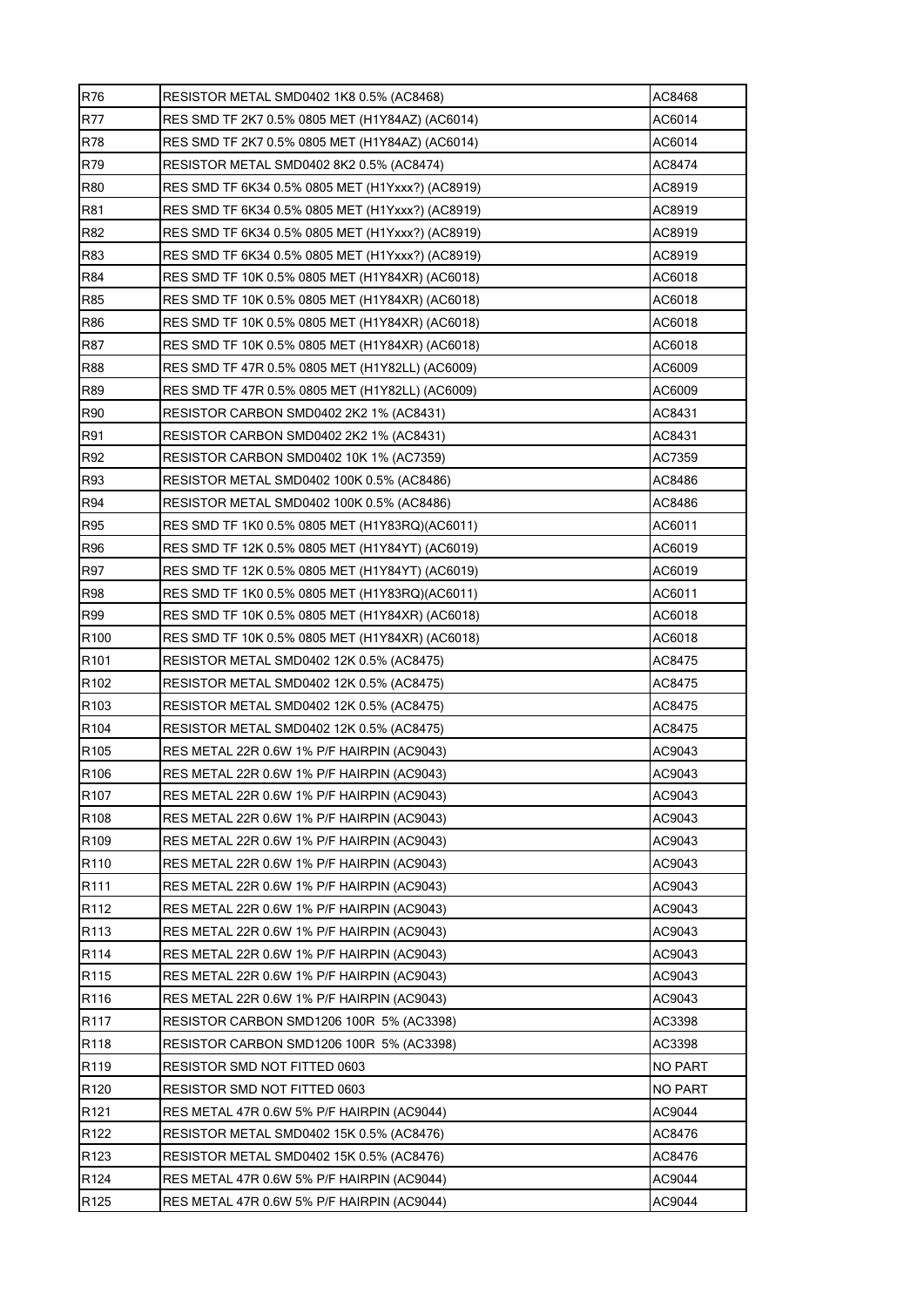| <b>R76</b>       | RESISTOR METAL SMD0402 1K8 0.5% (AC8468)         | AC8468         |
|------------------|--------------------------------------------------|----------------|
| <b>R77</b>       | RES SMD TF 2K7 0.5% 0805 MET (H1Y84AZ) (AC6014)  | AC6014         |
| R78              | RES SMD TF 2K7 0.5% 0805 MET (H1Y84AZ) (AC6014)  | AC6014         |
| R79              | RESISTOR METAL SMD0402 8K2 0.5% (AC8474)         | AC8474         |
| <b>R80</b>       |                                                  | AC8919         |
| R81              |                                                  | AC8919         |
| R82              |                                                  | AC8919         |
| R83              | RES SMD TF 6K34 0.5% 0805 MET (H1Yxxx?) (AC8919) | AC8919         |
| <b>R84</b>       |                                                  | AC6018         |
| R85              |                                                  | AC6018         |
| <b>R86</b>       | RES SMD TF 10K 0.5% 0805 MET (H1Y84XR) (AC6018)  | AC6018         |
| R87              | RES SMD TF 10K 0.5% 0805 MET (H1Y84XR) (AC6018)  | AC6018         |
| <b>R88</b>       | RES SMD TF 47R 0.5% 0805 MET (H1Y82LL) (AC6009)  | AC6009         |
| R89              | RES SMD TF 47R 0.5% 0805 MET (H1Y82LL) (AC6009)  | AC6009         |
| <b>R90</b>       | RESISTOR CARBON SMD0402 2K2 1% (AC8431)          | AC8431         |
| R91              | RESISTOR CARBON SMD0402 2K2 1% (AC8431)          | AC8431         |
| R92              | RESISTOR CARBON SMD0402 10K 1% (AC7359)          | AC7359         |
| R93              | RESISTOR METAL SMD0402 100K 0.5% (AC8486)        | AC8486         |
| R94              | RESISTOR METAL SMD0402 100K 0.5% (AC8486)        | AC8486         |
| <b>R95</b>       |                                                  | AC6011         |
| R96              |                                                  | AC6019         |
| R97              |                                                  | AC6019         |
| <b>R98</b>       | RES SMD TF 1K0 0.5% 0805 MET (H1Y83RQ)(AC6011)   | AC6011         |
| R99              |                                                  | AC6018         |
| R <sub>100</sub> |                                                  | AC6018         |
| R <sub>101</sub> | RESISTOR METAL SMD0402 12K 0.5% (AC8475)         | AC8475         |
| R102             | RESISTOR METAL SMD0402 12K 0.5% (AC8475)         | AC8475         |
| R103             | RESISTOR METAL SMD0402 12K 0.5% (AC8475)         | AC8475         |
| R <sub>104</sub> | RESISTOR METAL SMD0402 12K 0.5% (AC8475)         | AC8475         |
| R <sub>105</sub> | RES METAL 22R 0.6W 1% P/F HAIRPIN (AC9043)       | AC9043         |
| R106             | RES METAL 22R 0.6W 1% P/F HAIRPIN (AC9043)       | AC9043         |
| R107             | RES METAL 22R 0.6W 1% P/F HAIRPIN (AC9043)       | AC9043         |
| R108             | RES METAL 22R 0.6W 1% P/F HAIRPIN (AC9043)       | AC9043         |
| R109             | RES METAL 22R 0.6W 1% P/F HAIRPIN (AC9043)       | AC9043         |
| R110             | RES METAL 22R 0.6W 1% P/F HAIRPIN (AC9043)       | AC9043         |
| R111             | RES METAL 22R 0.6W 1% P/F HAIRPIN (AC9043)       | AC9043         |
| R <sub>112</sub> | RES METAL 22R 0.6W 1% P/F HAIRPIN (AC9043)       | AC9043         |
| R113             | RES METAL 22R 0.6W 1% P/F HAIRPIN (AC9043)       | AC9043         |
| R114             | RES METAL 22R 0.6W 1% P/F HAIRPIN (AC9043)       | AC9043         |
| R115             | RES METAL 22R 0.6W 1% P/F HAIRPIN (AC9043)       | AC9043         |
| R116             | RES METAL 22R 0.6W 1% P/F HAIRPIN (AC9043)       | AC9043         |
| R <sub>117</sub> | RESISTOR CARBON SMD1206 100R 5% (AC3398)         | AC3398         |
| R <sub>118</sub> | RESISTOR CARBON SMD1206 100R 5% (AC3398)         | AC3398         |
| R119             | RESISTOR SMD NOT FITTED 0603                     | <b>NO PART</b> |
| R120             | RESISTOR SMD NOT FITTED 0603                     | <b>NO PART</b> |
| R <sub>121</sub> | RES METAL 47R 0.6W 5% P/F HAIRPIN (AC9044)       | AC9044         |
| R <sub>122</sub> | RESISTOR METAL SMD0402 15K 0.5% (AC8476)         | AC8476         |
| R <sub>123</sub> | RESISTOR METAL SMD0402 15K 0.5% (AC8476)         | AC8476         |
| R <sub>124</sub> | RES METAL 47R 0.6W 5% P/F HAIRPIN (AC9044)       | AC9044         |
| R <sub>125</sub> | RES METAL 47R 0.6W 5% P/F HAIRPIN (AC9044)       | AC9044         |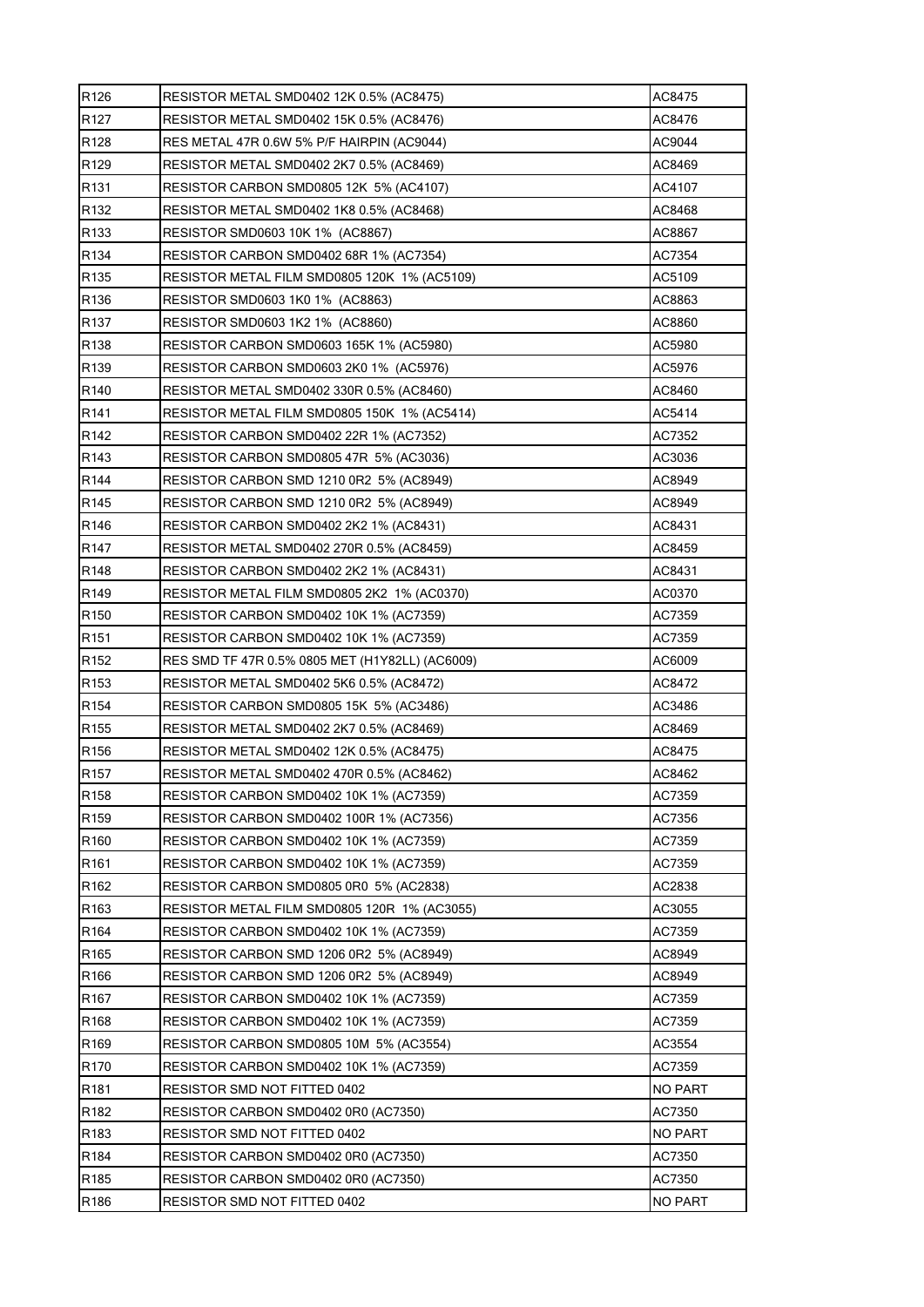| R <sub>126</sub> | RESISTOR METAL SMD0402 12K 0.5% (AC8475)        | AC8475         |
|------------------|-------------------------------------------------|----------------|
| R <sub>127</sub> | RESISTOR METAL SMD0402 15K 0.5% (AC8476)        | AC8476         |
| R128             | RES METAL 47R 0.6W 5% P/F HAIRPIN (AC9044)      | AC9044         |
| R <sub>129</sub> | RESISTOR METAL SMD0402 2K7 0.5% (AC8469)        | AC8469         |
| R <sub>131</sub> | RESISTOR CARBON SMD0805 12K 5% (AC4107)         | AC4107         |
| R <sub>132</sub> | RESISTOR METAL SMD0402 1K8 0.5% (AC8468)        | AC8468         |
| R133             | RESISTOR SMD0603 10K 1% (AC8867)                | AC8867         |
| R <sub>134</sub> | RESISTOR CARBON SMD0402 68R 1% (AC7354)         | AC7354         |
| R135             | RESISTOR METAL FILM SMD0805 120K 1% (AC5109)    | AC5109         |
| R136             | RESISTOR SMD0603 1K0 1% (AC8863)                | AC8863         |
| R <sub>137</sub> | RESISTOR SMD0603 1K2 1% (AC8860)                | AC8860         |
| R <sub>138</sub> | RESISTOR CARBON SMD0603 165K 1% (AC5980)        | AC5980         |
| R <sub>139</sub> | RESISTOR CARBON SMD0603 2K0 1% (AC5976)         | AC5976         |
| R <sub>140</sub> | RESISTOR METAL SMD0402 330R 0.5% (AC8460)       | AC8460         |
| R <sub>141</sub> | RESISTOR METAL FILM SMD0805 150K 1% (AC5414)    | AC5414         |
| R142             | RESISTOR CARBON SMD0402 22R 1% (AC7352)         | AC7352         |
| R <sub>143</sub> | RESISTOR CARBON SMD0805 47R 5% (AC3036)         | AC3036         |
| R <sub>144</sub> | RESISTOR CARBON SMD 1210 0R2 5% (AC8949)        | AC8949         |
| R <sub>145</sub> | RESISTOR CARBON SMD 1210 0R2 5% (AC8949)        | AC8949         |
| R <sub>146</sub> | RESISTOR CARBON SMD0402 2K2 1% (AC8431)         | AC8431         |
| R <sub>147</sub> | RESISTOR METAL SMD0402 270R 0.5% (AC8459)       | AC8459         |
| R148             | RESISTOR CARBON SMD0402 2K2 1% (AC8431)         | AC8431         |
| R <sub>149</sub> | RESISTOR METAL FILM SMD0805 2K2 1% (AC0370)     | AC0370         |
| R <sub>150</sub> | RESISTOR CARBON SMD0402 10K 1% (AC7359)         | AC7359         |
| R <sub>151</sub> | RESISTOR CARBON SMD0402 10K 1% (AC7359)         | AC7359         |
| R <sub>152</sub> | RES SMD TF 47R 0.5% 0805 MET (H1Y82LL) (AC6009) | AC6009         |
| R <sub>153</sub> | RESISTOR METAL SMD0402 5K6 0.5% (AC8472)        | AC8472         |
| R <sub>154</sub> | RESISTOR CARBON SMD0805 15K 5% (AC3486)         | AC3486         |
| R <sub>155</sub> | RESISTOR METAL SMD0402 2K7 0.5% (AC8469)        | AC8469         |
| R <sub>156</sub> | RESISTOR METAL SMD0402 12K 0.5% (AC8475)        | AC8475         |
| R <sub>157</sub> | RESISTOR METAL SMD0402 470R 0.5% (AC8462)       | AC8462         |
| R158             | RESISTOR CARBON SMD0402 10K 1% (AC7359)         | AC7359         |
| R159             | RESISTOR CARBON SMD0402 100R 1% (AC7356)        | AC7356         |
| R160             | RESISTOR CARBON SMD0402 10K 1% (AC7359)         | AC7359         |
| R161             | RESISTOR CARBON SMD0402 10K 1% (AC7359)         | AC7359         |
| R162             | RESISTOR CARBON SMD0805 0R0 5% (AC2838)         | AC2838         |
| R <sub>163</sub> | RESISTOR METAL FILM SMD0805 120R 1% (AC3055)    | AC3055         |
| R164             | RESISTOR CARBON SMD0402 10K 1% (AC7359)         | AC7359         |
| R165             | RESISTOR CARBON SMD 1206 0R2 5% (AC8949)        | AC8949         |
| R166             | RESISTOR CARBON SMD 1206 0R2 5% (AC8949)        | AC8949         |
| R <sub>167</sub> | RESISTOR CARBON SMD0402 10K 1% (AC7359)         | AC7359         |
| R <sub>168</sub> | RESISTOR CARBON SMD0402 10K 1% (AC7359)         | AC7359         |
| R169             | RESISTOR CARBON SMD0805 10M_5% (AC3554)         | AC3554         |
| R170             | RESISTOR CARBON SMD0402 10K 1% (AC7359)         | AC7359         |
| R <sub>181</sub> | RESISTOR SMD NOT FITTED 0402                    | <b>NO PART</b> |
| R182             | RESISTOR CARBON SMD0402 0R0 (AC7350)            | AC7350         |
| R183             | RESISTOR SMD NOT FITTED 0402                    | NO PART        |
| R184             | RESISTOR CARBON SMD0402 0R0 (AC7350)            | AC7350         |
| R <sub>185</sub> | RESISTOR CARBON SMD0402 0R0 (AC7350)            | AC7350         |
| R186             | RESISTOR SMD NOT FITTED 0402                    | <b>NO PART</b> |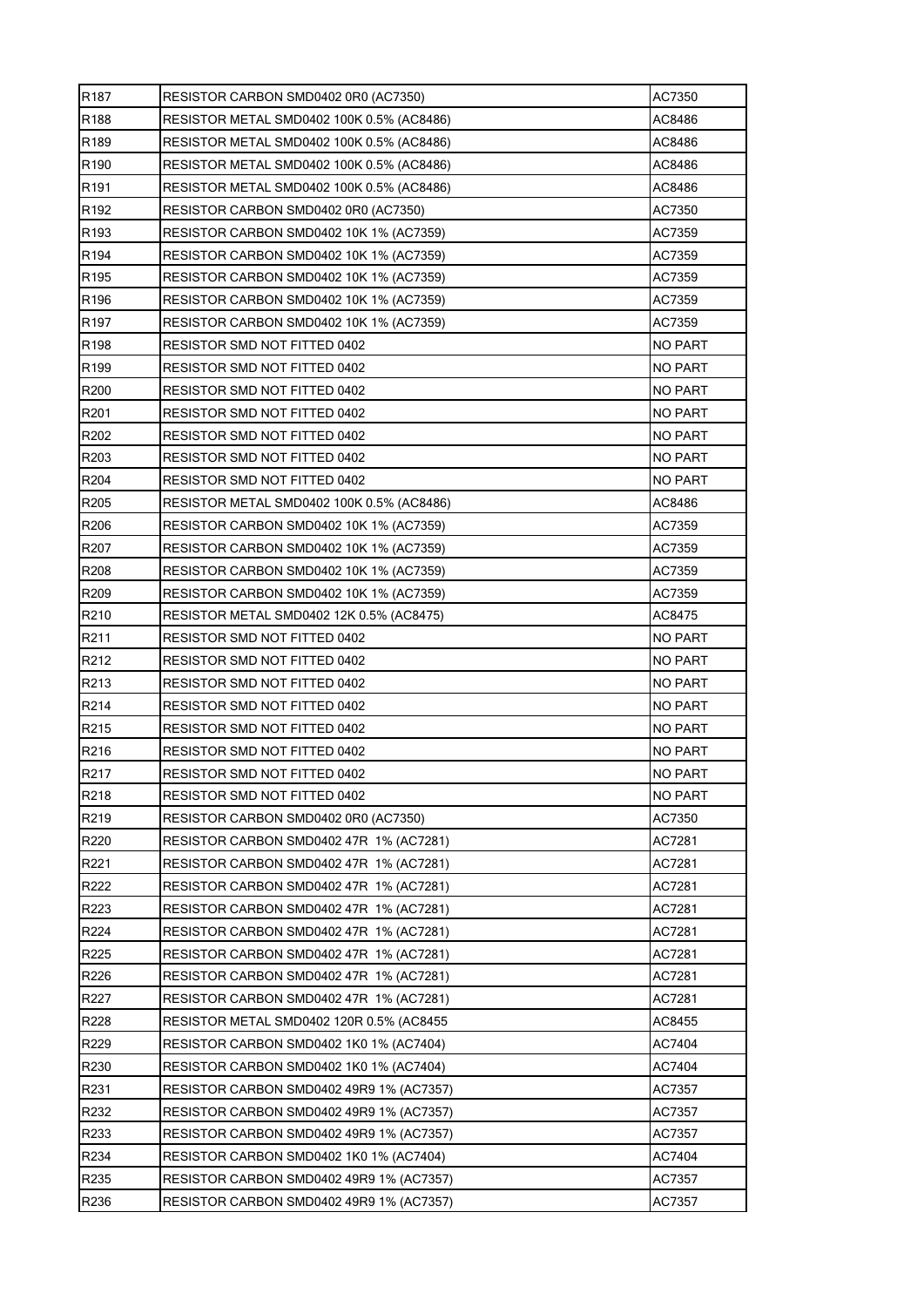| R <sub>187</sub> | RESISTOR CARBON SMD0402 0R0 (AC7350)       | AC7350         |
|------------------|--------------------------------------------|----------------|
| R188             | RESISTOR METAL SMD0402 100K  0.5% (AC8486) | AC8486         |
| R189             | RESISTOR METAL SMD0402 100K 0.5% (AC8486)  | AC8486         |
| R <sub>190</sub> | RESISTOR METAL SMD0402 100K 0.5% (AC8486)  | AC8486         |
| R <sub>191</sub> | RESISTOR METAL SMD0402 100K 0.5% (AC8486)  | AC8486         |
| R <sub>192</sub> | RESISTOR CARBON SMD0402 0R0 (AC7350)       | AC7350         |
| R193             | RESISTOR CARBON SMD0402 10K 1% (AC7359)    | AC7359         |
| R194             | RESISTOR CARBON SMD0402 10K 1% (AC7359)    | AC7359         |
| R <sub>195</sub> | RESISTOR CARBON SMD0402 10K 1% (AC7359)    | AC7359         |
| R <sub>196</sub> | RESISTOR CARBON SMD0402 10K 1% (AC7359)    | AC7359         |
| R <sub>197</sub> | RESISTOR CARBON SMD0402 10K 1% (AC7359)    | AC7359         |
| R198             | RESISTOR SMD NOT FITTED 0402               | <b>NO PART</b> |
| R <sub>199</sub> | RESISTOR SMD NOT FITTED 0402               | NO PART        |
| R200             | RESISTOR SMD NOT FITTED 0402               | <b>NO PART</b> |
| R201             | RESISTOR SMD NOT FITTED 0402               | NO PART        |
| R202             | RESISTOR SMD NOT FITTED 0402               | <b>NO PART</b> |
| R203             | RESISTOR SMD NOT FITTED 0402               | <b>NO PART</b> |
| R204             | RESISTOR SMD NOT FITTED 0402               | NO PART        |
| R205             | RESISTOR METAL SMD0402 100K 0.5% (AC8486)  | AC8486         |
| R206             | RESISTOR CARBON SMD0402 10K 1% (AC7359)    | AC7359         |
| R207             | RESISTOR CARBON SMD0402 10K 1% (AC7359)    | AC7359         |
| R208             | RESISTOR CARBON SMD0402 10K 1% (AC7359)    | AC7359         |
| R209             | RESISTOR CARBON SMD0402 10K 1% (AC7359)    | AC7359         |
| R210             | RESISTOR METAL SMD0402 12K 0.5% (AC8475)   | AC8475         |
| R211             | RESISTOR SMD NOT FITTED 0402               | NO PART        |
| R212             | RESISTOR SMD NOT FITTED 0402               | NO PART        |
| R213             | RESISTOR SMD NOT FITTED 0402               | NO PART        |
| R214             | RESISTOR SMD NOT FITTED 0402               | <b>NO PART</b> |
| R215             | RESISTOR SMD NOT FITTED 0402               | <b>NO PART</b> |
| R216             | RESISTOR SMD NOT FITTED 0402               | NO PART        |
| R217             | RESISTOR SMD NOT FITTED 0402               | <b>NO PART</b> |
| R218             | RESISTOR SMD NOT FITTED 0402               | <b>NO PART</b> |
| R219             | RESISTOR CARBON SMD0402 0R0 (AC7350)       | AC7350         |
| R220             | RESISTOR CARBON SMD0402 47R 1% (AC7281)    | AC7281         |
| R221             | RESISTOR CARBON SMD0402 47R 1% (AC7281)    | AC7281         |
| R222             | RESISTOR CARBON SMD0402 47R 1% (AC7281)    | AC7281         |
| R223             | RESISTOR CARBON SMD0402 47R 1% (AC7281)    | AC7281         |
| R224             | RESISTOR CARBON SMD0402 47R 1% (AC7281)    | AC7281         |
| R225             | RESISTOR CARBON SMD0402 47R 1% (AC7281)    | AC7281         |
| R226             | RESISTOR CARBON SMD0402 47R 1% (AC7281)    | AC7281         |
| R227             | RESISTOR CARBON SMD0402 47R 1% (AC7281)    | AC7281         |
| R228             | RESISTOR METAL SMD0402 120R 0.5% (AC8455   | AC8455         |
| R229             | RESISTOR CARBON SMD0402 1K0 1% (AC7404)    | AC7404         |
| R230             | RESISTOR CARBON SMD0402 1K0 1% (AC7404)    | AC7404         |
| R231             | RESISTOR CARBON SMD0402 49R9 1% (AC7357)   | AC7357         |
| R232             | RESISTOR CARBON SMD0402 49R9 1% (AC7357)   | AC7357         |
| R233             | RESISTOR CARBON SMD0402 49R9 1% (AC7357)   | AC7357         |
| R234             | RESISTOR CARBON SMD0402 1K0 1% (AC7404)    | AC7404         |
| R235             | RESISTOR CARBON SMD0402 49R9 1% (AC7357)   | AC7357         |
| R236             | RESISTOR CARBON SMD0402 49R9 1% (AC7357)   | AC7357         |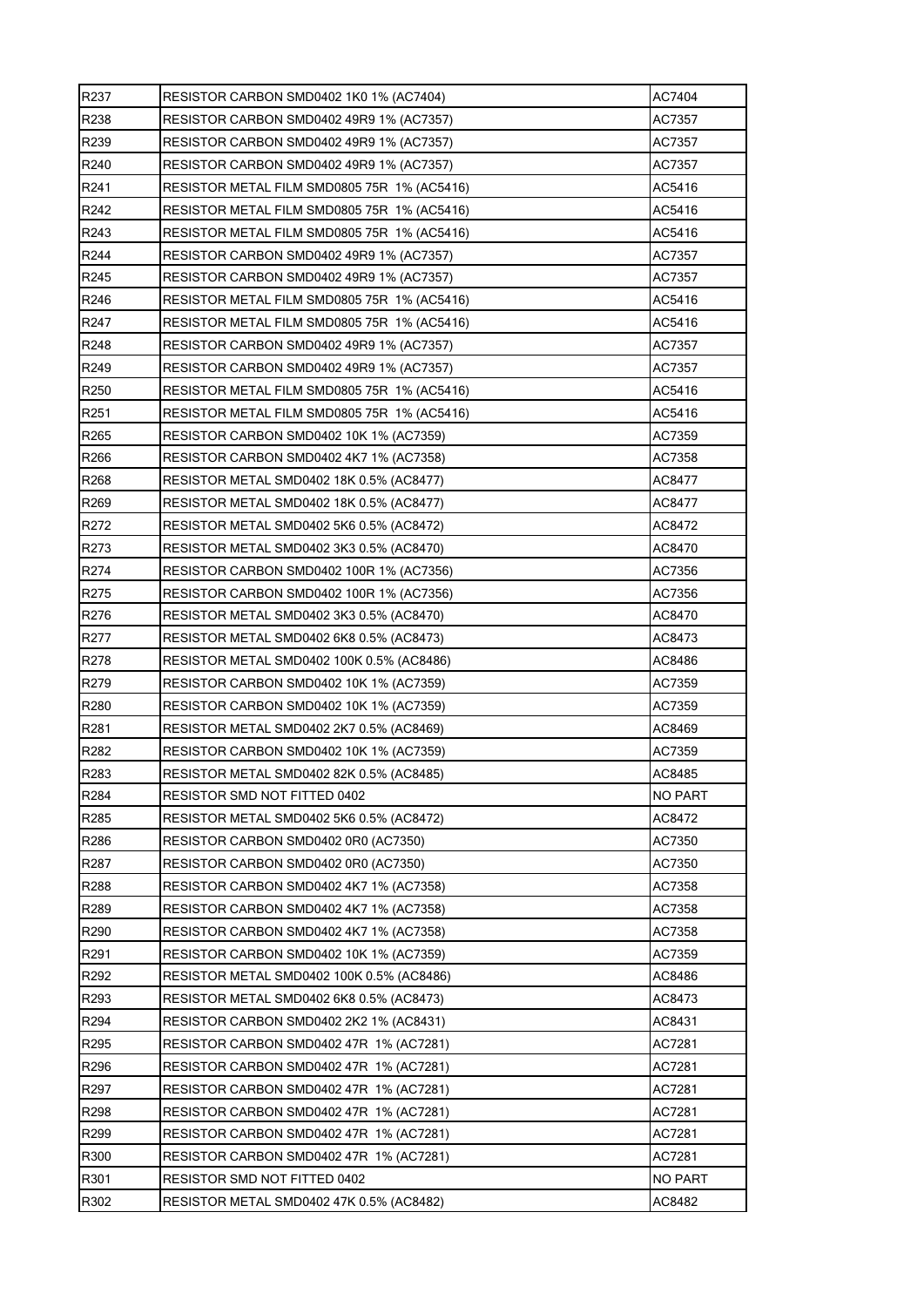| R <sub>237</sub> | RESISTOR CARBON SMD0402 1K0 1% (AC7404)     | AC7404  |
|------------------|---------------------------------------------|---------|
| R238             | RESISTOR CARBON SMD0402 49R9 1% (AC7357)    | AC7357  |
| R239             | RESISTOR CARBON SMD0402 49R9 1% (AC7357)    | AC7357  |
| R240             | RESISTOR CARBON SMD0402 49R9 1% (AC7357)    | AC7357  |
| R241             | RESISTOR METAL FILM SMD0805 75R 1% (AC5416) | AC5416  |
| R242             | RESISTOR METAL FILM SMD0805 75R 1% (AC5416) | AC5416  |
| R243             | RESISTOR METAL FILM SMD0805 75R 1% (AC5416) | AC5416  |
| R244             | RESISTOR CARBON SMD0402 49R9 1% (AC7357)    | AC7357  |
| R <sub>245</sub> | RESISTOR CARBON SMD0402 49R9 1% (AC7357)    | AC7357  |
| R246             | RESISTOR METAL FILM SMD0805 75R 1% (AC5416) | AC5416  |
| R247             | RESISTOR METAL FILM SMD0805 75R 1% (AC5416) | AC5416  |
| R248             | RESISTOR CARBON SMD0402 49R9 1% (AC7357)    | AC7357  |
| R <sub>249</sub> | RESISTOR CARBON SMD0402 49R9 1% (AC7357)    | AC7357  |
| R250             | RESISTOR METAL FILM SMD0805 75R 1% (AC5416) | AC5416  |
| R251             | RESISTOR METAL FILM SMD0805 75R 1% (AC5416) | AC5416  |
| R <sub>265</sub> | RESISTOR CARBON SMD0402 10K 1% (AC7359)     | AC7359  |
| R266             | RESISTOR CARBON SMD0402 4K7 1% (AC7358)     | AC7358  |
| R <sub>268</sub> | RESISTOR METAL SMD0402 18K 0.5% (AC8477)    | AC8477  |
| R269             | RESISTOR METAL SMD0402 18K 0.5% (AC8477)    | AC8477  |
| R272             | RESISTOR METAL SMD0402 5K6 0.5% (AC8472)    | AC8472  |
| R273             | RESISTOR METAL SMD0402 3K3 0.5% (AC8470)    | AC8470  |
| R274             | RESISTOR CARBON SMD0402 100R 1% (AC7356)    | AC7356  |
| R275             | RESISTOR CARBON SMD0402 100R 1% (AC7356)    | AC7356  |
| R276             | RESISTOR METAL SMD0402 3K3 0.5% (AC8470)    | AC8470  |
| R277             | RESISTOR METAL SMD0402 6K8 0.5% (AC8473)    | AC8473  |
| R278             | RESISTOR METAL SMD0402 100K 0.5% (AC8486)   | AC8486  |
| R279             | RESISTOR CARBON SMD0402 10K 1% (AC7359)     | AC7359  |
| R280             | RESISTOR CARBON SMD0402 10K 1% (AC7359)     | AC7359  |
| R281             | RESISTOR METAL SMD0402 2K7 0.5% (AC8469)    | AC8469  |
| R282             | RESISTOR CARBON SMD0402 10K 1% (AC7359)     | AC7359  |
| R283             | RESISTOR METAL SMD0402 82K 0.5% (AC8485)    | AC8485  |
| R284             | RESISTOR SMD NOT FITTED 0402                | NO PART |
| R285             | RESISTOR METAL SMD0402 5K6 0.5% (AC8472)    | AC8472  |
| R286             | RESISTOR CARBON SMD0402 0R0 (AC7350)        | AC7350  |
| R287             | RESISTOR CARBON SMD0402 0R0 (AC7350)        | AC7350  |
| R288             | RESISTOR CARBON SMD0402 4K7 1% (AC7358)     | AC7358  |
| R289             | RESISTOR CARBON SMD0402 4K7 1% (AC7358)     | AC7358  |
| R290             | RESISTOR CARBON SMD0402 4K7 1% (AC7358)     | AC7358  |
| R291             | RESISTOR CARBON SMD0402 10K 1% (AC7359)     | AC7359  |
| R292             | RESISTOR METAL SMD0402 100K 0.5% (AC8486)   | AC8486  |
| R293             | RESISTOR METAL SMD0402 6K8 0.5% (AC8473)    | AC8473  |
| R294             | RESISTOR CARBON SMD0402 2K2 1% (AC8431)     | AC8431  |
| R295             | RESISTOR CARBON SMD0402 47R 1% (AC7281)     | AC7281  |
| R296             | RESISTOR CARBON SMD0402 47R 1% (AC7281)     | AC7281  |
| R297             | RESISTOR CARBON SMD0402 47R 1% (AC7281)     | AC7281  |
| R298             | RESISTOR CARBON SMD0402 47R 1% (AC7281)     | AC7281  |
| R299             | RESISTOR CARBON SMD0402 47R 1% (AC7281)     | AC7281  |
| R300             | RESISTOR CARBON SMD0402 47R 1% (AC7281)     | AC7281  |
| R301             | RESISTOR SMD NOT FITTED 0402                | NO PART |
| R302             | RESISTOR METAL SMD0402 47K 0.5% (AC8482)    | AC8482  |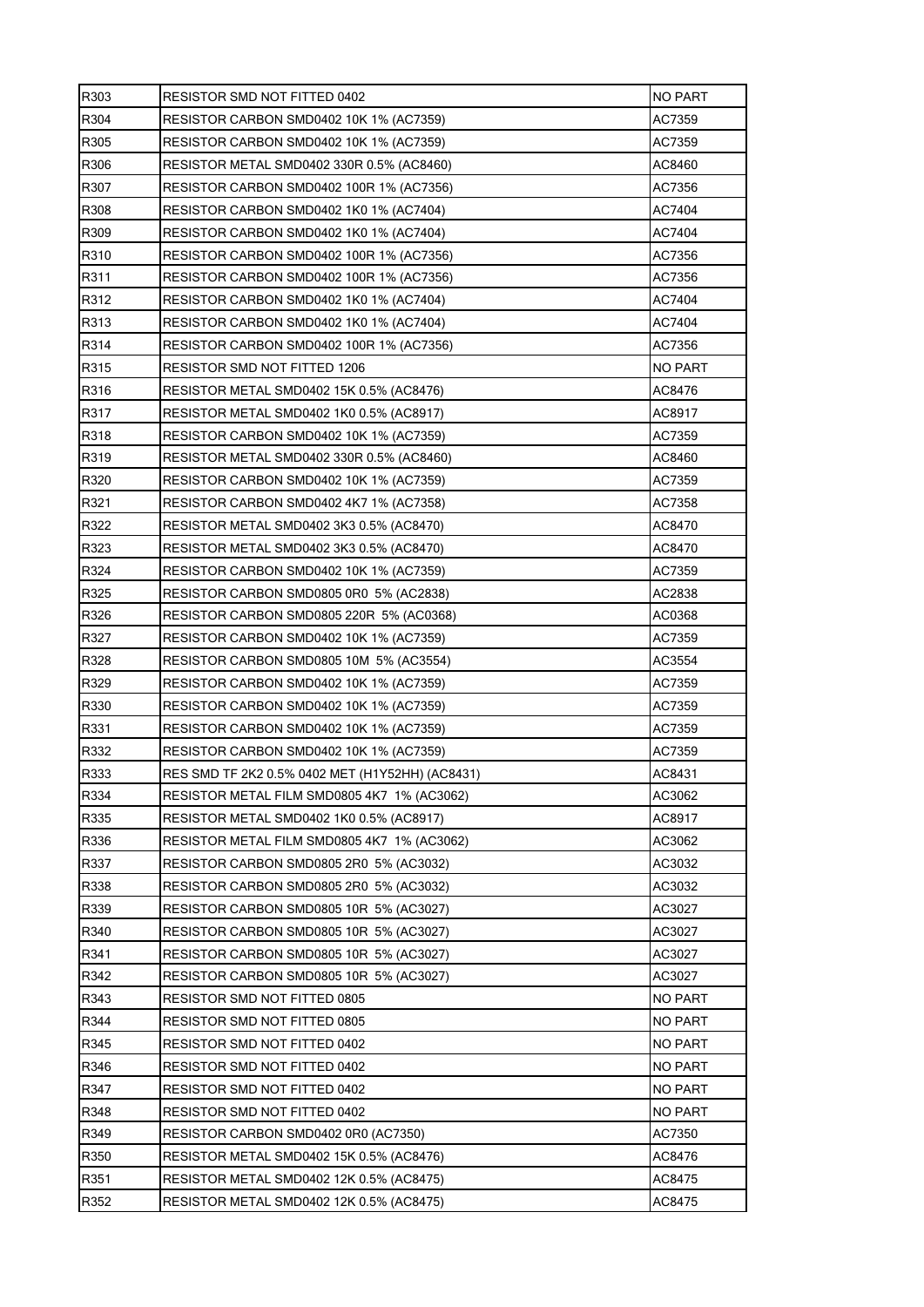| R303 | RESISTOR SMD NOT FITTED 0402                    | <b>NO PART</b> |
|------|-------------------------------------------------|----------------|
| R304 | RESISTOR CARBON SMD0402 10K 1% (AC7359)         | AC7359         |
| R305 | RESISTOR CARBON SMD0402 10K 1% (AC7359)         | AC7359         |
| R306 | RESISTOR METAL SMD0402 330R 0.5% (AC8460)       | AC8460         |
| R307 | RESISTOR CARBON SMD0402 100R 1% (AC7356)        | AC7356         |
| R308 | RESISTOR CARBON SMD0402 1K0 1% (AC7404)         | AC7404         |
| R309 | RESISTOR CARBON SMD0402 1K0 1% (AC7404)         | AC7404         |
| R310 | RESISTOR CARBON SMD0402 100R 1% (AC7356)        | AC7356         |
| R311 | RESISTOR CARBON SMD0402 100R 1% (AC7356)        | AC7356         |
| R312 | RESISTOR CARBON SMD0402 1K0 1% (AC7404)         | AC7404         |
| R313 | RESISTOR CARBON SMD0402 1K0 1% (AC7404)         | AC7404         |
| R314 | RESISTOR CARBON SMD0402 100R 1% (AC7356)        | AC7356         |
| R315 | RESISTOR SMD NOT FITTED 1206                    | NO PART        |
| R316 | RESISTOR METAL SMD0402 15K 0.5% (AC8476)        | AC8476         |
| R317 | RESISTOR METAL SMD0402 1K0 0.5% (AC8917)        | AC8917         |
| R318 | RESISTOR CARBON SMD0402 10K 1% (AC7359)         | AC7359         |
| R319 | RESISTOR METAL SMD0402 330R 0.5% (AC8460)       | AC8460         |
| R320 | RESISTOR CARBON SMD0402 10K 1% (AC7359)         | AC7359         |
| R321 | RESISTOR CARBON SMD0402 4K7 1% (AC7358)         | AC7358         |
| R322 | RESISTOR METAL SMD0402 3K3 0.5% (AC8470)        | AC8470         |
| R323 | RESISTOR METAL SMD0402 3K3 0.5% (AC8470)        | AC8470         |
| R324 | RESISTOR CARBON SMD0402 10K 1% (AC7359)         | AC7359         |
| R325 | RESISTOR CARBON SMD0805 0R0 5% (AC2838)         | AC2838         |
| R326 | RESISTOR CARBON SMD0805 220R 5% (AC0368)        | AC0368         |
| R327 | RESISTOR CARBON SMD0402 10K 1% (AC7359)         | AC7359         |
| R328 | RESISTOR CARBON SMD0805 10M_5% (AC3554)         | AC3554         |
| R329 | RESISTOR CARBON SMD0402 10K 1% (AC7359)         | AC7359         |
| R330 | RESISTOR CARBON SMD0402 10K 1% (AC7359)         | AC7359         |
| R331 | RESISTOR CARBON SMD0402 10K 1% (AC7359)         | AC7359         |
| R332 | RESISTOR CARBON SMD0402 10K 1% (AC7359)         | AC7359         |
| R333 | RES SMD TF 2K2 0.5% 0402 MET (H1Y52HH) (AC8431) | AC8431         |
| R334 | RESISTOR METAL FILM SMD0805 4K7 1% (AC3062)     | AC3062         |
| R335 | RESISTOR METAL SMD0402 1K0 0.5% (AC8917)        | AC8917         |
| R336 | RESISTOR METAL FILM SMD0805 4K7 1% (AC3062)     | AC3062         |
| R337 | RESISTOR CARBON SMD0805 2R0 5% (AC3032)         | AC3032         |
| R338 | RESISTOR CARBON SMD0805 2R0 5% (AC3032)         | AC3032         |
| R339 | RESISTOR CARBON SMD0805 10R 5% (AC3027)         | AC3027         |
| R340 | RESISTOR CARBON SMD0805 10R 5% (AC3027)         | AC3027         |
| R341 | RESISTOR CARBON SMD0805 10R 5% (AC3027)         | AC3027         |
| R342 | RESISTOR CARBON SMD0805 10R 5% (AC3027)         | AC3027         |
| R343 | RESISTOR SMD NOT FITTED 0805                    | NO PART        |
| R344 | RESISTOR SMD NOT FITTED 0805                    | NO PART        |
| R345 | RESISTOR SMD NOT FITTED 0402                    | <b>NO PART</b> |
| R346 | RESISTOR SMD NOT FITTED 0402                    | NO PART        |
| R347 | RESISTOR SMD NOT FITTED 0402                    | <b>NO PART</b> |
| R348 | RESISTOR SMD NOT FITTED 0402                    | NO PART        |
| R349 | RESISTOR CARBON SMD0402 0R0 (AC7350)            | AC7350         |
| R350 | RESISTOR METAL SMD0402 15K 0.5% (AC8476)        | AC8476         |
| R351 | RESISTOR METAL SMD0402 12K 0.5% (AC8475)        | AC8475         |
| R352 | RESISTOR METAL SMD0402 12K 0.5% (AC8475)        | AC8475         |